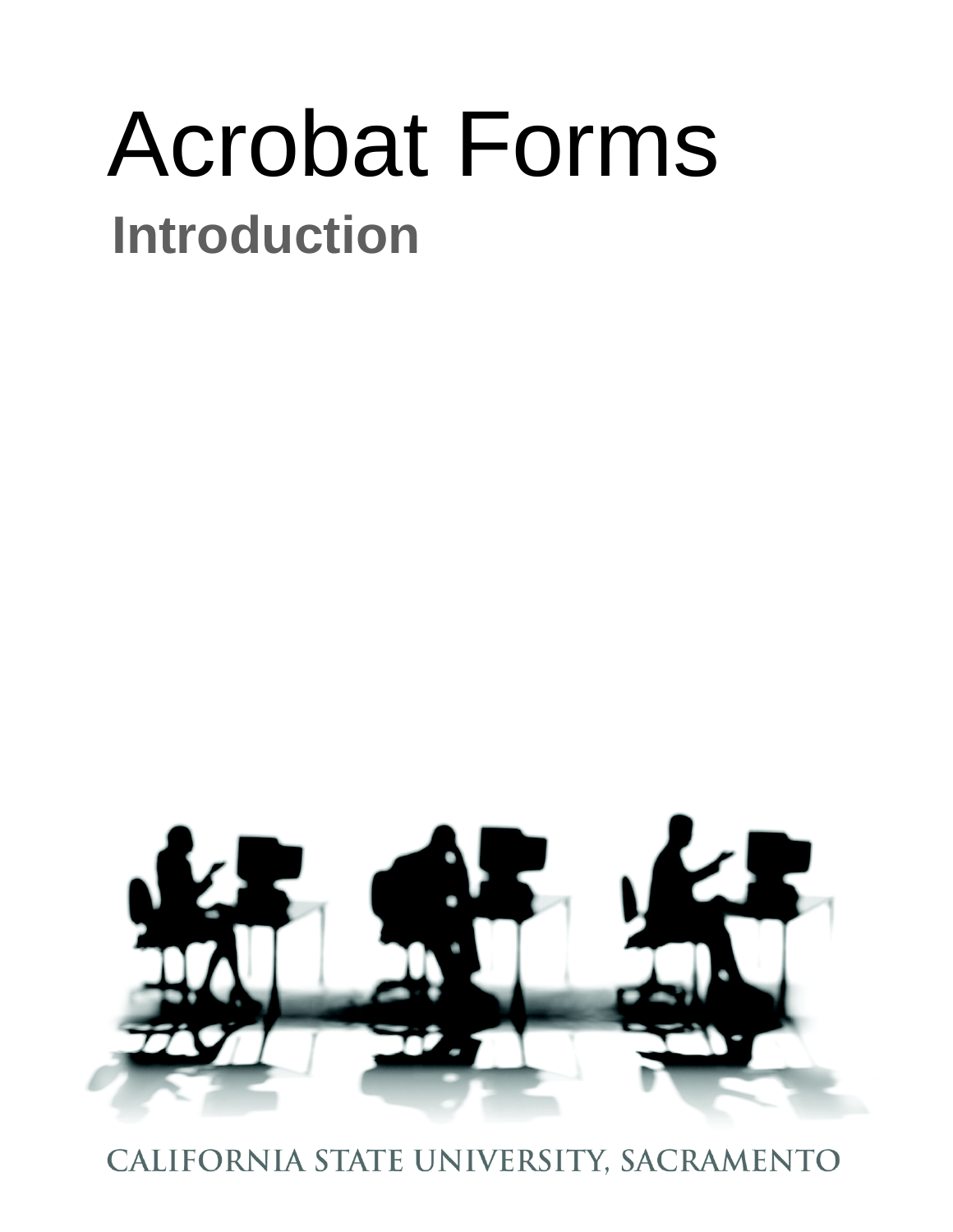# Acrobat Forms **Introduction**



CALIFORNIA STATE UNIVERSITY, SACRAMENTO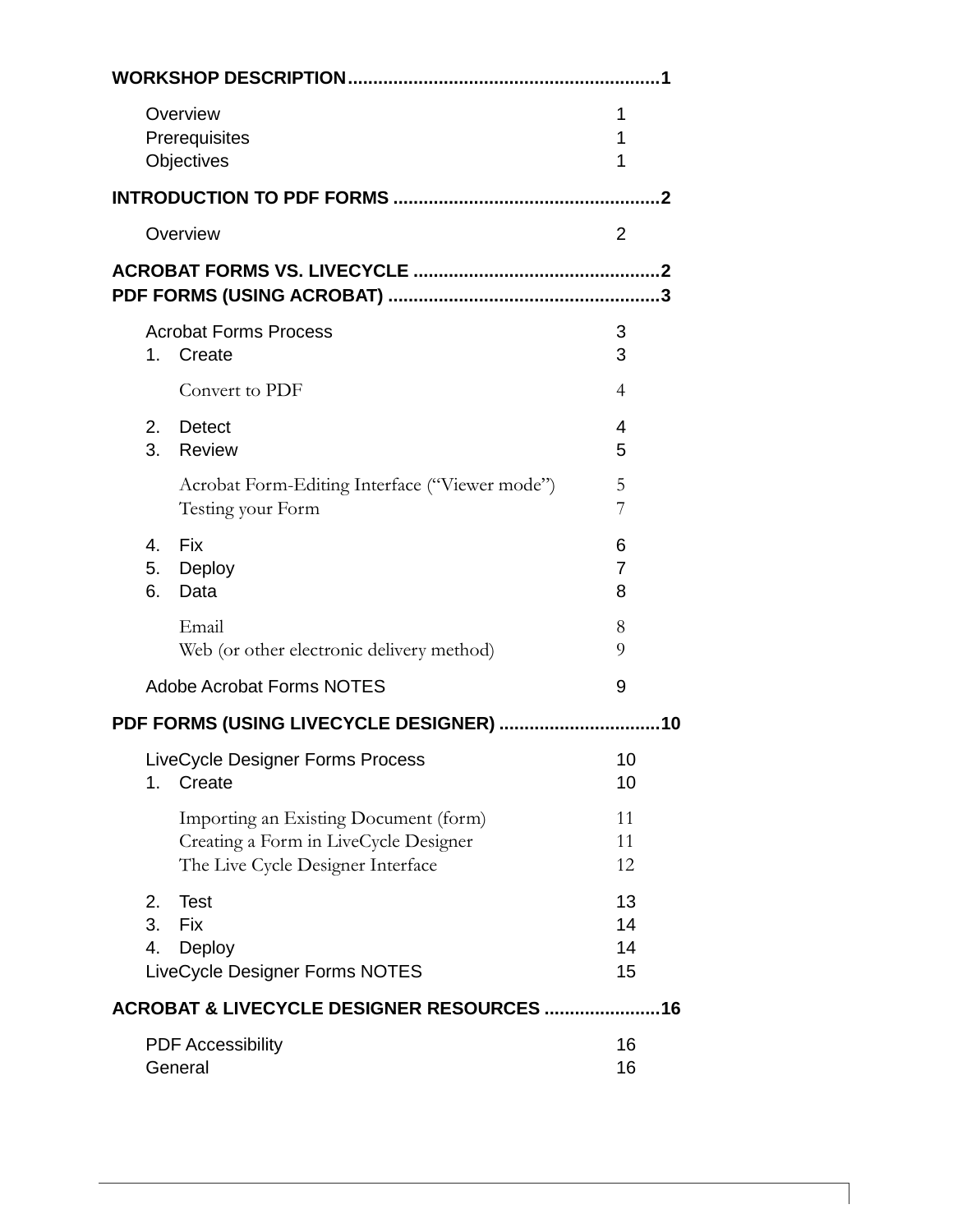| Overview<br>Prerequisites<br>Objectives                                                                             | 1<br>1<br>1          |
|---------------------------------------------------------------------------------------------------------------------|----------------------|
|                                                                                                                     |                      |
| Overview                                                                                                            | $\overline{2}$       |
|                                                                                                                     |                      |
| <b>Acrobat Forms Process</b><br>1. Create                                                                           | 3<br>3               |
| Convert to PDF                                                                                                      | $\overline{4}$       |
| 2.<br><b>Detect</b><br>3.<br>Review                                                                                 | $\overline{4}$<br>5  |
| Acrobat Form-Editing Interface ("Viewer mode")<br>Testing your Form                                                 | 5<br>7               |
| 4.<br><b>Fix</b><br>5.<br>Deploy<br>6.<br>Data                                                                      | 6<br>7<br>8          |
| Email<br>Web (or other electronic delivery method)                                                                  | 8<br>9               |
| <b>Adobe Acrobat Forms NOTES</b>                                                                                    | 9                    |
| PDF FORMS (USING LIVECYCLE DESIGNER)                                                                                | 10                   |
| LiveCycle Designer Forms Process<br>Create<br>1.                                                                    | 10<br>10             |
| Importing an Existing Document (form)<br>Creating a Form in LiveCycle Designer<br>The Live Cycle Designer Interface | 11<br>11<br>12       |
| <b>Test</b><br>2.<br>3.<br>Fix<br>4.<br>Deploy<br>LiveCycle Designer Forms NOTES                                    | 13<br>14<br>14<br>15 |
| <b>ACROBAT &amp; LIVECYCLE DESIGNER RESOURCES </b>                                                                  | 16                   |
| <b>PDF Accessibility</b><br>General                                                                                 | 16<br>16             |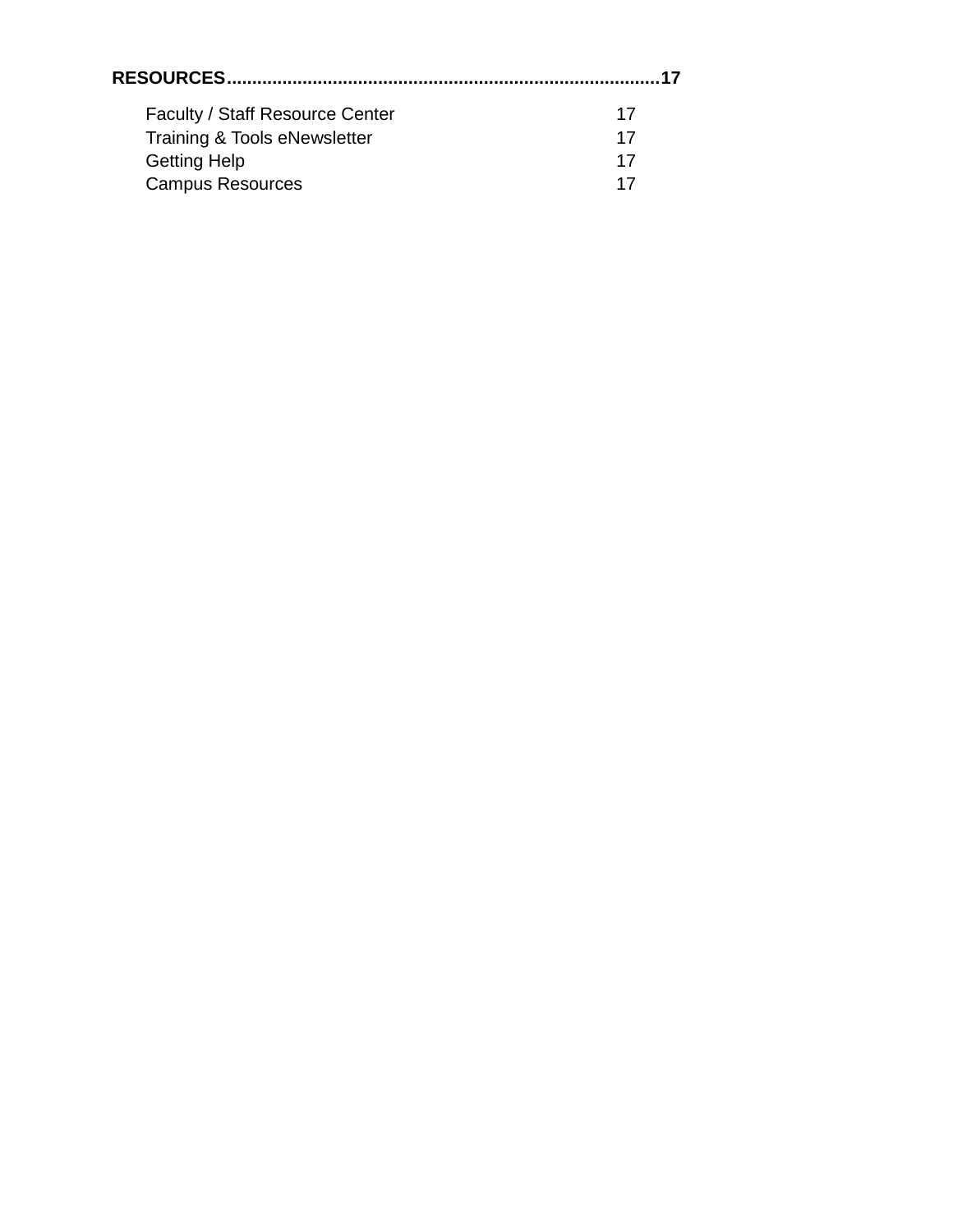| <b>Faculty / Staff Resource Center</b> | 17 |
|----------------------------------------|----|
| Training & Tools eNewsletter           | 17 |
| <b>Getting Help</b>                    | 17 |
| <b>Campus Resources</b>                |    |
|                                        |    |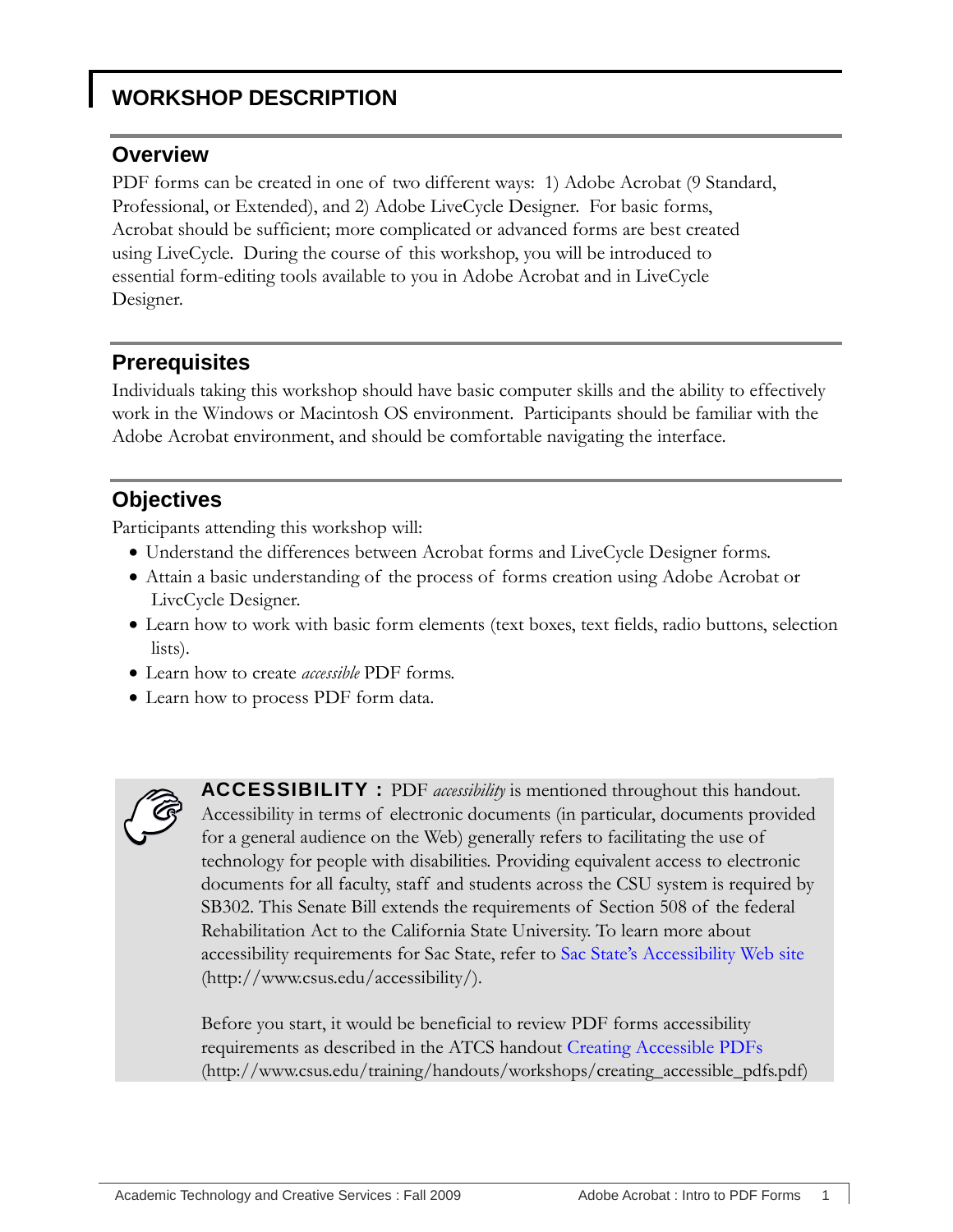## <span id="page-4-1"></span><span id="page-4-0"></span>**WORKSHOP DESCRIPTION**

#### **Overview**

PDF forms can be created in one of two different ways: 1) Adobe Acrobat (9 Standard, Professional, or Extended), and 2) Adobe LiveCycle Designer. For basic forms, Acrobat should be sufficient; more complicated or advanced forms are best created using LiveCycle. During the course of this workshop, you will be introduced to essential form-editing tools available to you in Adobe Acrobat and in LiveCycle Designer.

#### <span id="page-4-2"></span>**Prerequisites**

Individuals taking this workshop should have basic computer skills and the ability to effectively work in the Windows or Macintosh OS environment. Participants should be familiar with the Adobe Acrobat environment, and should be comfortable navigating the interface.

## <span id="page-4-3"></span>**Objectives**

Participants attending this workshop will:

- Understand the differences between Acrobat forms and LiveCycle Designer forms.
- Attain a basic understanding of the process of forms creation using Adobe Acrobat or LivcCycle Designer.
- Learn how to work with basic form elements (text boxes, text fields, radio buttons, selection lists).
- Learn how to create *accessible* PDF forms.
- Learn how to process PDF form data.



**ACCESSIBILITY :** PDF *accessibility* is mentioned throughout this handout. Accessibility in terms of electronic documents (in particular, documents provided for a general audience on the Web) generally refers to facilitating the use of technology for people with disabilities. Providing equivalent access to electronic documents for all faculty, staff and students across the CSU system is required by SB302. This Senate Bill extends the requirements of Section 508 of the federal Rehabilitation Act to the California State University. To learn more about accessibility requirements for Sac State, refer to Sac State's Accessibility Web site (http://www.csus.edu/accessibility/).

Before you start, it would be beneficial to review PDF forms accessibility requirements as described in the ATCS handout [Creating Accessible PDFs](http://www.csus.edu/training/handouts/workshops/creating_accessible_pdfs.pdf) (http://www.csus.edu/training/handouts/workshops/creating\_accessible\_pdfs.pdf)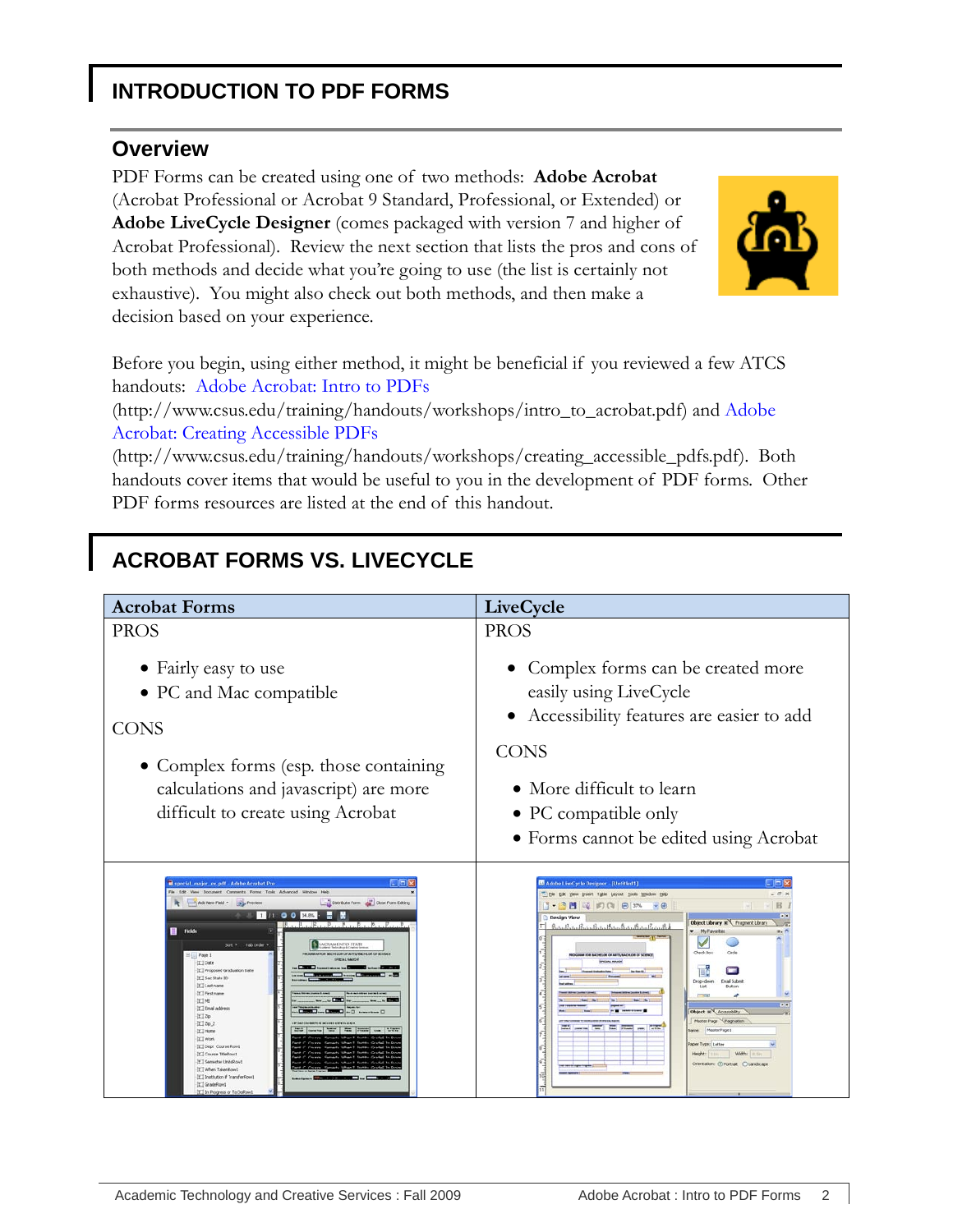## <span id="page-5-1"></span><span id="page-5-0"></span>**INTRODUCTION TO PDF FORMS**

#### **Overview**

PDF Forms can be created using one of two methods: **Adobe Acrobat** (Acrobat Professional or Acrobat 9 Standard, Professional, or Extended) or **Adobe LiveCycle Designer** (comes packaged with version 7 and higher of Acrobat Professional). Review the next section that lists the pros and cons of both methods and decide what you're going to use (the list is certainly not exhaustive). You might also check out both methods, and then make a decision based on your experience.



Before you begin, using either method, it might be beneficial if you reviewed a few ATCS handouts: [Adobe Acrobat: Intro to PDFs](http://www.csus.edu/training/handouts/workshops/intro_to_acrobat.pdf)

(http://www.csus.edu/training/handouts/workshops/intro\_to\_acrobat.pdf) and [Adobe](http://www.csus.edu/training/handouts/workshops/creating_accessible_pdfs.pdf)  [Acrobat: Creating Accessible PDFs](http://www.csus.edu/training/handouts/workshops/creating_accessible_pdfs.pdf)

(http://www.csus.edu/training/handouts/workshops/creating\_accessible\_pdfs.pdf). Both handouts cover items that would be useful to you in the development of PDF forms. Other PDF forms resources are listed at the end of this handout.

# <span id="page-5-2"></span>**ACROBAT FORMS VS. LIVECYCLE**

| <b>Acrobat Forms</b>                                                                                                                                                                                                                                                                                                                                                                                                                                                                                                                                                                                                                                                                                                                                                                                          | LiveCycle                                                                                                                                                                                                                                                                                                                                                                                                                                                                                                                                                                                                                                                                                                                                                                                                                                                                                                                                                                                                                                                                                       |
|---------------------------------------------------------------------------------------------------------------------------------------------------------------------------------------------------------------------------------------------------------------------------------------------------------------------------------------------------------------------------------------------------------------------------------------------------------------------------------------------------------------------------------------------------------------------------------------------------------------------------------------------------------------------------------------------------------------------------------------------------------------------------------------------------------------|-------------------------------------------------------------------------------------------------------------------------------------------------------------------------------------------------------------------------------------------------------------------------------------------------------------------------------------------------------------------------------------------------------------------------------------------------------------------------------------------------------------------------------------------------------------------------------------------------------------------------------------------------------------------------------------------------------------------------------------------------------------------------------------------------------------------------------------------------------------------------------------------------------------------------------------------------------------------------------------------------------------------------------------------------------------------------------------------------|
| <b>PROS</b>                                                                                                                                                                                                                                                                                                                                                                                                                                                                                                                                                                                                                                                                                                                                                                                                   | <b>PROS</b>                                                                                                                                                                                                                                                                                                                                                                                                                                                                                                                                                                                                                                                                                                                                                                                                                                                                                                                                                                                                                                                                                     |
| • Fairly easy to use<br>• PC and Mac compatible<br><b>CONS</b><br>• Complex forms (esp. those containing<br>calculations and javascript) are more<br>difficult to create using Acrobat                                                                                                                                                                                                                                                                                                                                                                                                                                                                                                                                                                                                                        | • Complex forms can be created more<br>easily using LiveCycle<br>• Accessibility features are easier to add<br><b>CONS</b><br>• More difficult to learn<br>• PC compatible only<br>• Forms cannot be edited using Acrobat                                                                                                                                                                                                                                                                                                                                                                                                                                                                                                                                                                                                                                                                                                                                                                                                                                                                       |
| <b>STEP</b><br>il special_major_ex.pdf - Adobe Acrobat Pro<br>File Edit View Document Comments Forms Tools Advanced Window Help<br>Clostribute Form and Close Form Editing<br>Add New Field - They Preview<br>1 /1 0 0 348%<br>$R_1, R_2, R_3, R_4, R_5, R_6, R_7$<br><b>El</b> rields<br>Sot + Tab Order +<br>MCRAMENTO STATE<br>FROM BASE ROB BACHBUDE OR A FEDINANCE OF OCTOBAT.<br>$\equiv$ Page 1<br>If I Date<br>-It'll Proposed Graduation Date<br>[C] Sac State 30<br>[E] Last name<br><b>ICI First name</b><br>加工时<br>II Email address<br><b>Description Des Gallery</b><br>T120<br>22202<br>TT Home<br>ICI Work<br>IL Dept Course Rowl<br>[C] Course TitleRow1<br>If I Samester UnitsRowt<br>I When TakenRowt<br>If I lookitution if TransferRoad<br>II GradeRows<br>It I in Progress or To Dollow! | $-108$<br>Adobe LiveCycle Designer - [Untitled1]<br>" He Edt yew Insert Table Leyout Tools Window Help<br>$-81$<br>$\blacksquare$ $\blacksquare$ $\blacksquare$ $\blacksquare$ $\blacksquare$ $\blacksquare$ $\blacksquare$ $\blacksquare$ $\blacksquare$ $\blacksquare$ $\blacksquare$ $\blacksquare$ $\blacksquare$ $\blacksquare$ $\blacksquare$ $\blacksquare$ $\blacksquare$ $\blacksquare$ $\blacksquare$ $\blacksquare$ $\blacksquare$ $\blacksquare$ $\blacksquare$ $\blacksquare$ $\blacksquare$ $\blacksquare$ $\blacksquare$ $\blacksquare$ $\blacksquare$ $\blacksquare$ $\blacksquare$ $\blacks$<br>$_{\rm B}$<br>Design View<br>Object Library 30 Fragment Library<br>Postagliatan Prata Partia Partia Partia Partia Partia Part<br>- My Favorites<br>Carlo<br>Check Roy<br>CRAIN FOR SACHING OF ARTI-TACHOR DE SCENCE<br>T<br><b>Enal School</b><br>Drop-down<br><b>flutton</b><br>Object <b>x</b> Accessbity<br>Master Page V Pagnation<br>time percent and has stored per child<br>MasterPage1<br>aper Type: Letter<br>Width<br>Height:<br>Crientation: @ Portral: @ Landscape |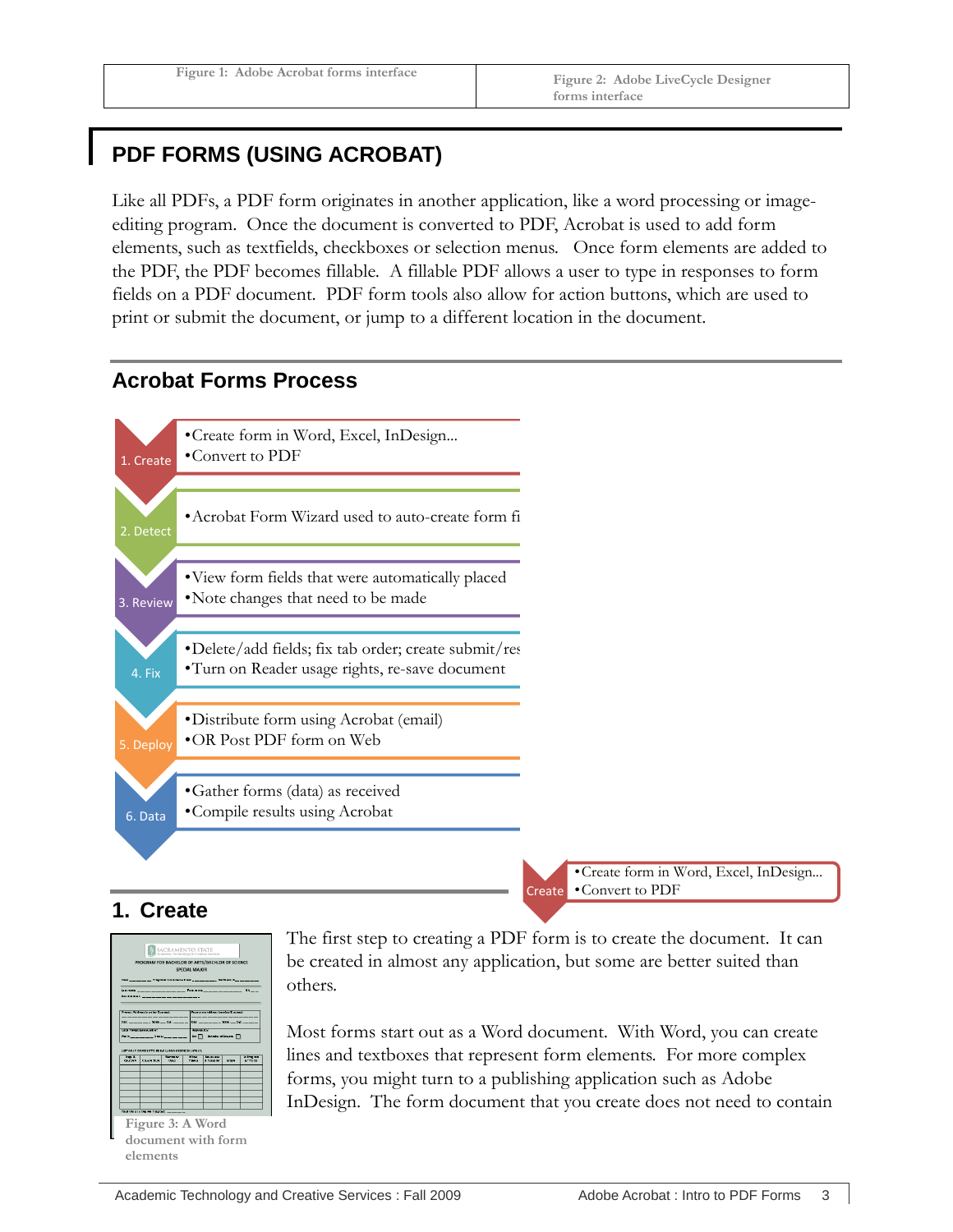## <span id="page-6-0"></span>**PDF FORMS (USING ACROBAT)**

Like all PDFs, a PDF form originates in another application, like a word processing or imageediting program. Once the document is converted to PDF, Acrobat is used to add form elements, such as textfields, checkboxes or selection menus. Once form elements are added to the PDF, the PDF becomes fillable. A fillable PDF allows a user to type in responses to form fields on a PDF document. PDF form tools also allow for action buttons, which are used to print or submit the document, or jump to a different location in the document.

#### <span id="page-6-1"></span>**Acrobat Forms Process**



#### <span id="page-6-2"></span>**1. Create**



**document with form elements**

The first step to creating a PDF form is to create the document. It can be created in almost any application, but some are better suited than others.

Create

Most forms start out as a Word document. With Word, you can create lines and textboxes that represent form elements. For more complex forms, you might turn to a publishing application such as Adobe InDesign. The form document that you create does not need to contain

•Create form in Word, Excel, InDesign...

•Convert to PDF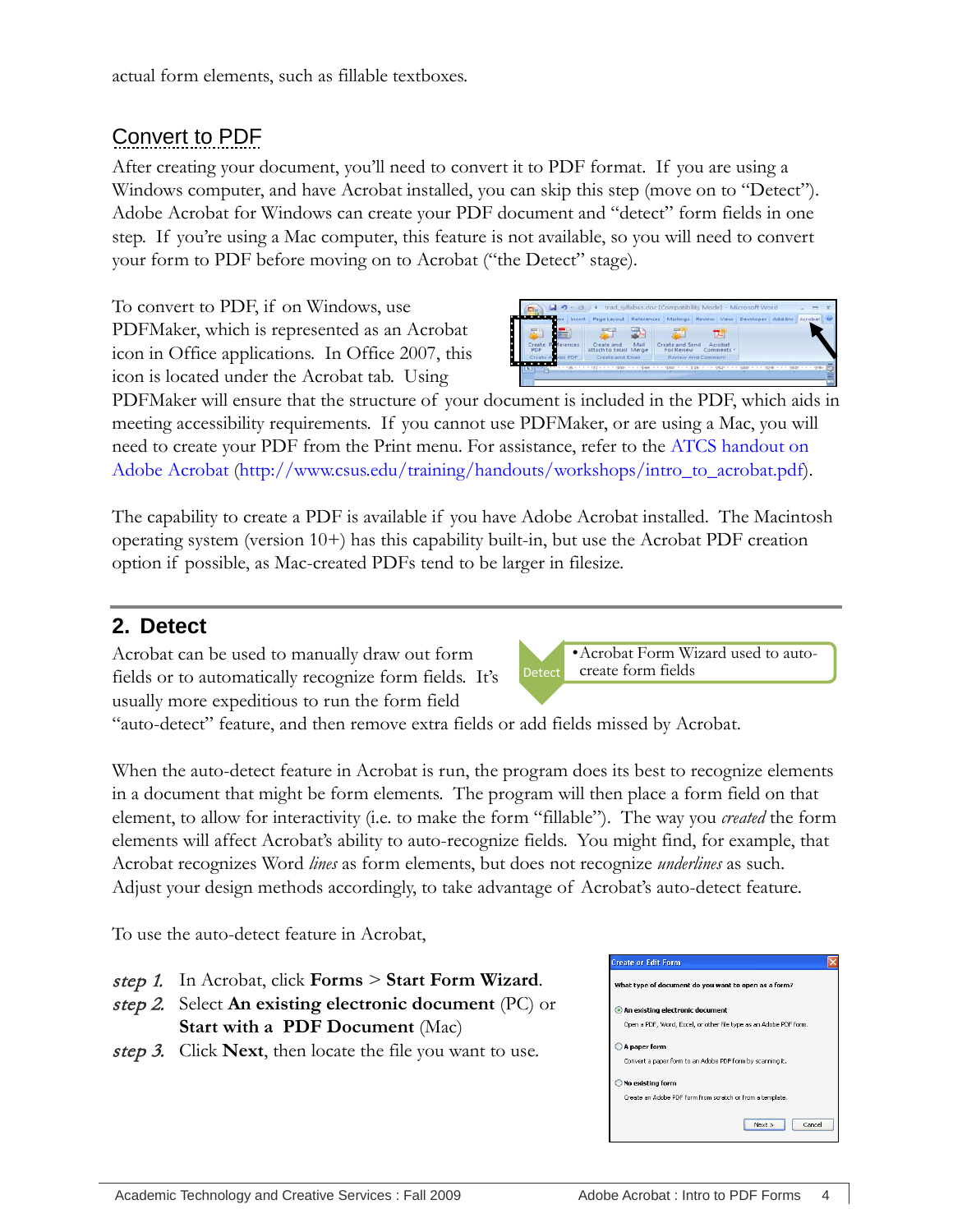## <span id="page-7-0"></span>Convert to PDF

After creating your document, you'll need to convert it to PDF format. If you are using a Windows computer, and have Acrobat installed, you can skip this step (move on to "Detect"). Adobe Acrobat for Windows can create your PDF document and "detect" form fields in one step. If you're using a Mac computer, this feature is not available, so you will need to convert your form to PDF before moving on to Acrobat ("the Detect" stage).

To convert to PDF, if on Windows, use PDFMaker, which is represented as an Acrobat icon in Office applications. In Office 2007, this icon is located under the Acrobat tab. Using



PDFMaker will ensure that the structure of your document is included in the PDF, which aids in meeting accessibility requirements. If you cannot use PDFMaker, or are using a Mac, you will need to create your PDF from the Print menu. For assistance, refer to the [ATCS handout on](http://www.csus.edu/training/handouts/workshops/intro_to_acrobat.pdf)  [Adobe Acrobat](http://www.csus.edu/training/handouts/workshops/intro_to_acrobat.pdf) [\(http://www.csus.edu/training/handouts/workshops/intro\\_to\\_acrobat.pdf\)](http://www.csus.edu/training/handouts/workshops/intro_to_acrobat.pdf).

The capability to create a PDF is available if you have Adobe Acrobat installed. The Macintosh operating system (version 10+) has this capability built-in, but use the Acrobat PDF creation option if possible, as Mac-created PDFs tend to be larger in filesize.

## <span id="page-7-1"></span>**2. Detect**

Acrobat can be used to manually draw out form fields or to automatically recognize form fields. It's usually more expeditious to run the form field

**Detect** •Acrobat Form Wizard used to autocreate form fields

"auto-detect" feature, and then remove extra fields or add fields missed by Acrobat.

When the auto-detect feature in Acrobat is run, the program does its best to recognize elements in a document that might be form elements. The program will then place a form field on that element, to allow for interactivity (i.e. to make the form "fillable"). The way you *created* the form elements will affect Acrobat's ability to auto-recognize fields. You might find, for example, that Acrobat recognizes Word *lines* as form elements, but does not recognize *underlines* as such. Adjust your design methods accordingly, to take advantage of Acrobat's auto-detect feature.

To use the auto-detect feature in Acrobat,

- step 1. In Acrobat, click **Forms** > **Start Form Wizard**.
- step 2. Select **An existing electronic document** (PC) or **Start with a PDF Document** (Mac)
- step 3. Click **Next**, then locate the file you want to use.

|                  | What type of document do you want to open as a form?              |
|------------------|-------------------------------------------------------------------|
|                  | An existing electronic document                                   |
|                  | Open a PDF, Word, Excel, or other file type as an Adobe PDF form. |
| A paper form     |                                                                   |
|                  | Convert a paper form to an Adobe PDF form by scanning it.         |
| No existing form |                                                                   |
|                  | Create an Adobe PDF form from scratch or from a template.         |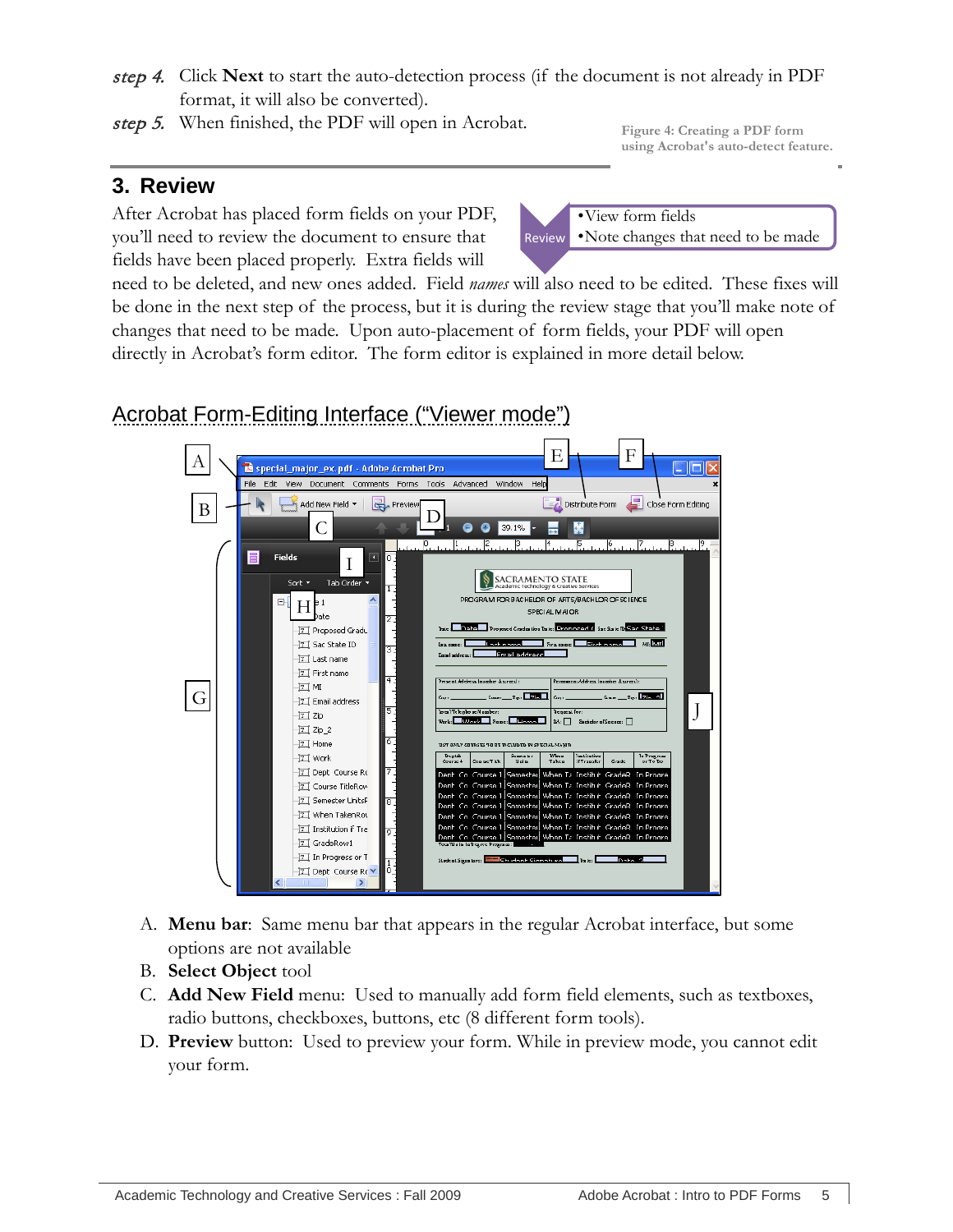- step 4. Click **Next** to start the auto-detection process (if the document is not already in PDF format, it will also be converted).
- step 5. When finished, the PDF will open in Acrobat.

**Figure 4: Creating a PDF form using Acrobat's auto-detect feature.**

#### <span id="page-8-0"></span>**3. Review**

After Acrobat has placed form fields on your PDF, you'll need to review the document to ensure that fields have been placed properly. Extra fields will

Review •View form fields •Note changes that need to be made

need to be deleted, and new ones added. Field *names* will also need to be edited. These fixes will be done in the next step of the process, but it is during the review stage that you'll make note of changes that need to be made. Upon auto-placement of form fields, your PDF will open directly in Acrobat's form editor. The form editor is explained in more detail below.

# <span id="page-8-1"></span>Acrobat Form-Editing Interface ("Viewer mode")



- A. **Menu bar**: Same menu bar that appears in the regular Acrobat interface, but some options are not available
- B. **Select Object** tool
- C. **Add New Field** menu: Used to manually add form field elements, such as textboxes, radio buttons, checkboxes, buttons, etc (8 different form tools).
- D. **Preview** button: Used to preview your form. While in preview mode, you cannot edit your form.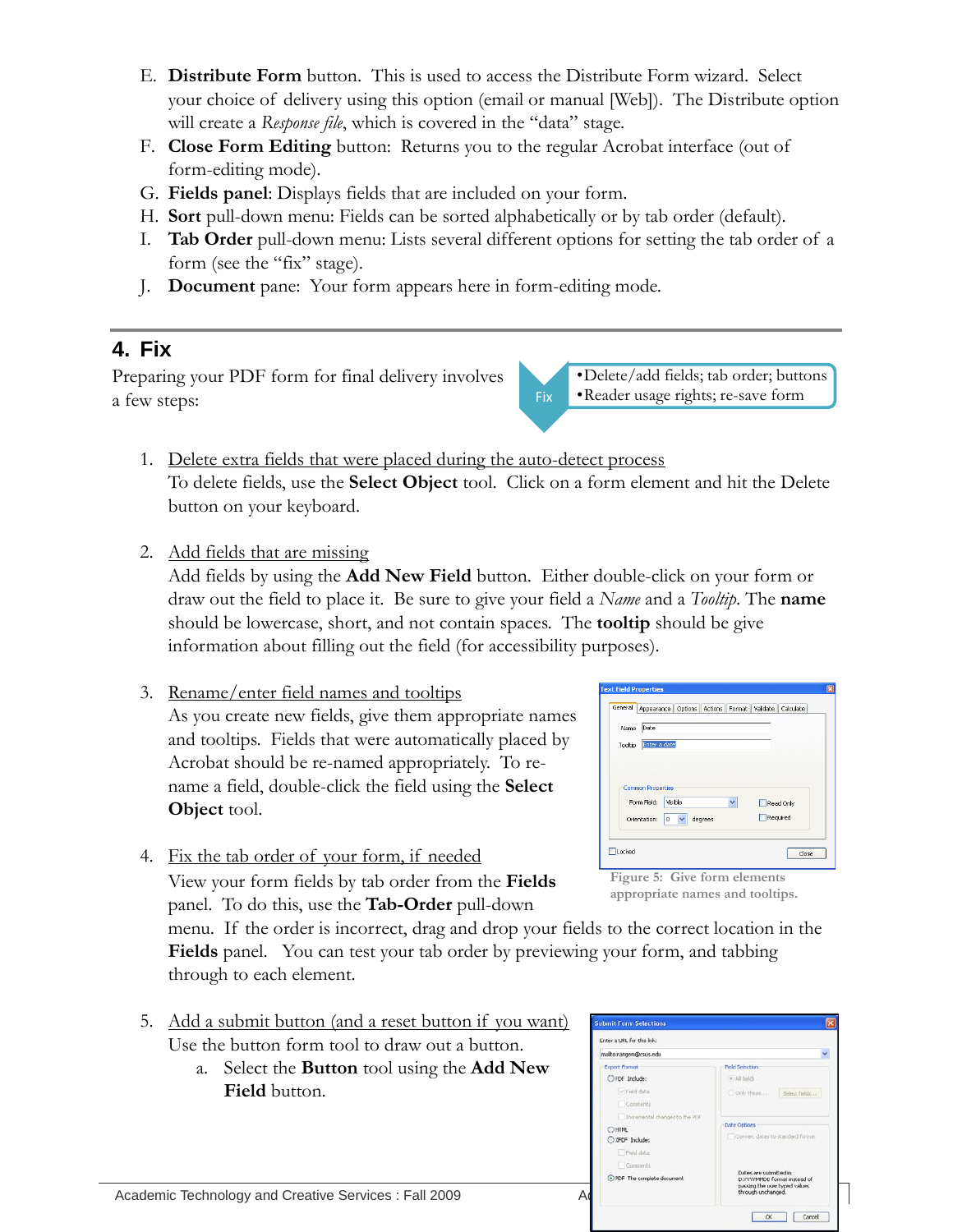- E. **Distribute Form** button. This is used to access the Distribute Form wizard. Select your choice of delivery using this option (email or manual [Web]). The Distribute option will create a *Response file*, which is covered in the "data" stage.
- F. **Close Form Editing** button: Returns you to the regular Acrobat interface (out of form-editing mode).
- G. **Fields panel**: Displays fields that are included on your form.
- H. **Sort** pull-down menu: Fields can be sorted alphabetically or by tab order (default).
- I. **Tab Order** pull-down menu: Lists several different options for setting the tab order of a form (see the "fix" stage).
- <span id="page-9-0"></span>J. **Document** pane: Your form appears here in form-editing mode.

## **4. Fix**

Preparing your PDF form for final delivery involves a few steps:

Fix •Delete/add fields; tab order; buttons •Reader usage rights; re-save form

- 1. Delete extra fields that were placed during the auto-detect process To delete fields, use the **Select Object** tool. Click on a form element and hit the Delete button on your keyboard.
- 2. Add fields that are missing

Add fields by using the **Add New Field** button. Either double-click on your form or draw out the field to place it. Be sure to give your field a *Name* and a *Tooltip*. The **name** should be lowercase, short, and not contain spaces. The **tooltip** should be give information about filling out the field (for accessibility purposes).

- 3. Rename/enter field names and tooltips As you create new fields, give them appropriate names and tooltips. Fields that were automatically placed by Acrobat should be re-named appropriately. To rename a field, double-click the field using the **Select Object** tool.
- 4. Fix the tab order of your form, if needed View your form fields by tab order from the **Fields**  panel. To do this, use the **Tab-Order** pull-down

menu. If the order is incorrect, drag and drop your fields to the correct location in the **Fields** panel. You can test your tab order by previewing your form, and tabbing through to each element.

- 5. Add a submit button (and a reset button if you want) Use the button form tool to draw out a button.
	- a. Select the **Button** tool using the **Add New Field** button.

|                 | <b>Text Field Properties</b>            |              |         |   |                       |                                                   |
|-----------------|-----------------------------------------|--------------|---------|---|-----------------------|---------------------------------------------------|
| General         | Appearance                              |              |         |   |                       | Options   Actions   Format   Validate   Calculate |
| Name<br>Tooltip | Date<br>Enter a date                    |              |         |   |                       |                                                   |
|                 |                                         |              |         |   |                       |                                                   |
|                 | <b>Common Properties</b><br>Form Field: | Visible      |         | v |                       |                                                   |
|                 | Orientation:<br>0                       | $\checkmark$ | degrees |   | Read Only<br>Required |                                                   |

**Figure 5: Give form elements appropriate names and tooltips.**

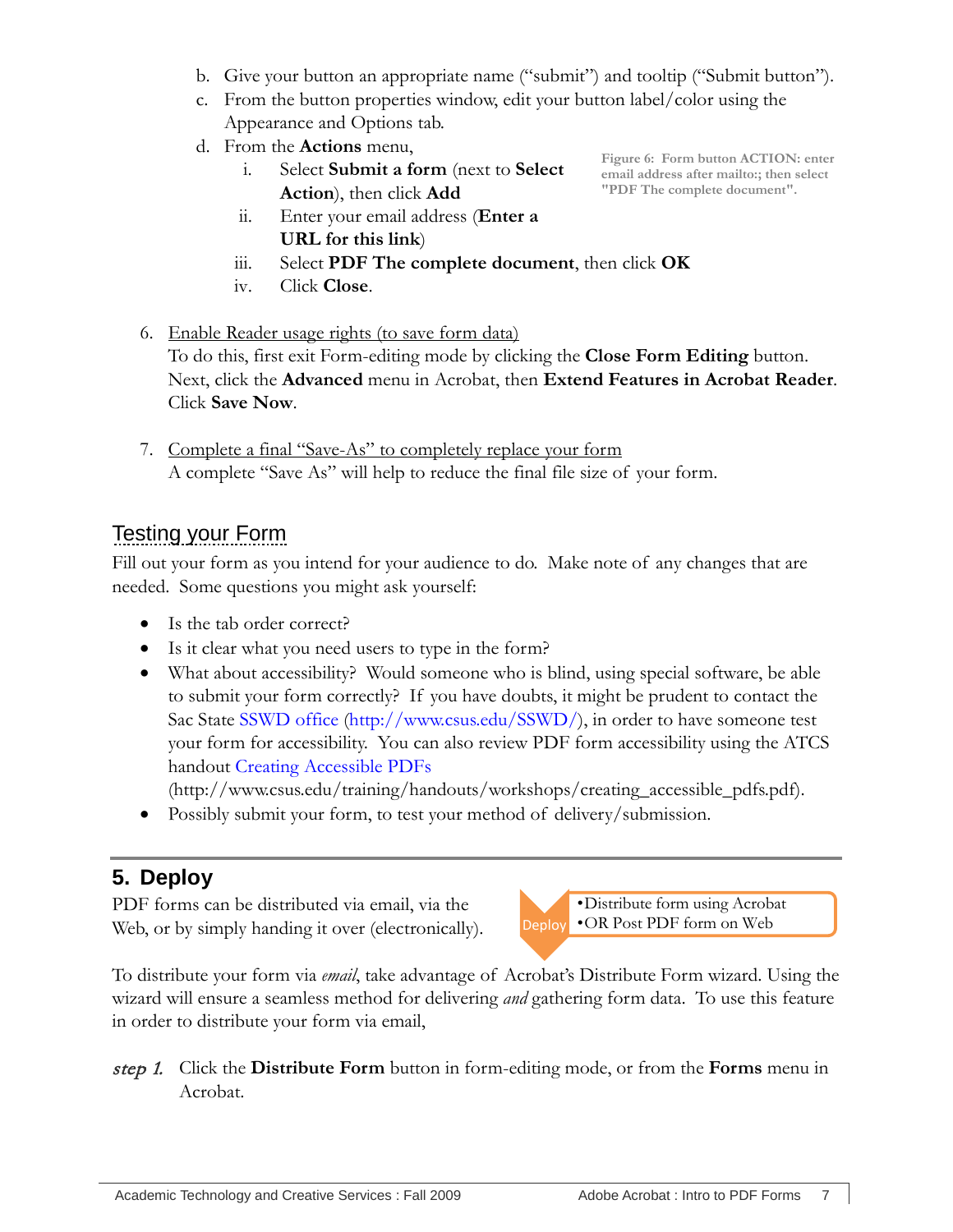- b. Give your button an appropriate name ("submit") and tooltip ("Submit button").
- c. From the button properties window, edit your button label/color using the Appearance and Options tab.
- d. From the **Actions** menu,
	- i. Select **Submit a form** (next to **Select Action**), then click **Add**
	- ii. Enter your email address (**Enter a URL for this link**)
	- iii. Select **PDF The complete document**, then click **OK**
	- iv. Click **Close**.
- 6. Enable Reader usage rights (to save form data) To do this, first exit Form-editing mode by clicking the **Close Form Editing** button. Next, click the **Advanced** menu in Acrobat, then **Extend Features in Acrobat Reader**. Click **Save Now**.
- 7. Complete a final "Save-As" to completely replace your form A complete "Save As" will help to reduce the final file size of your form.

# <span id="page-10-0"></span>Testing your Form

Fill out your form as you intend for your audience to do. Make note of any changes that are needed. Some questions you might ask yourself:

- Is the tab order correct?
- Is it clear what you need users to type in the form?
- What about accessibility? Would someone who is blind, using special software, be able to submit your form correctly? If you have doubts, it might be prudent to contact the Sac State [SSWD office](http://www.csus.edu/SSWD/) [\(http://www.csus.edu/SSWD/\)](http://www.csus.edu/SSWD/), in order to have someone test your form for accessibility. You can also review PDF form accessibility using the ATCS handout [Creating Accessible PDFs](http://www.csus.edu/training/handouts/workshops/creating_accessible_pdfs.pdf)

(http://www.csus.edu/training/handouts/workshops/creating\_accessible\_pdfs.pdf).

• Possibly submit your form, to test your method of delivery/submission.

# <span id="page-10-1"></span>**5. Deploy**

PDF forms can be distributed via email, via the Web, or by simply handing it over (electronically).



To distribute your form via *email*, take advantage of Acrobat's Distribute Form wizard. Using the wizard will ensure a seamless method for delivering *and* gathering form data. To use this feature in order to distribute your form via email,

step 1. Click the **Distribute Form** button in form-editing mode, or from the **Forms** menu in Acrobat.

**Figure 6: Form button ACTION: enter email address after mailto:; then select "PDF The complete document".**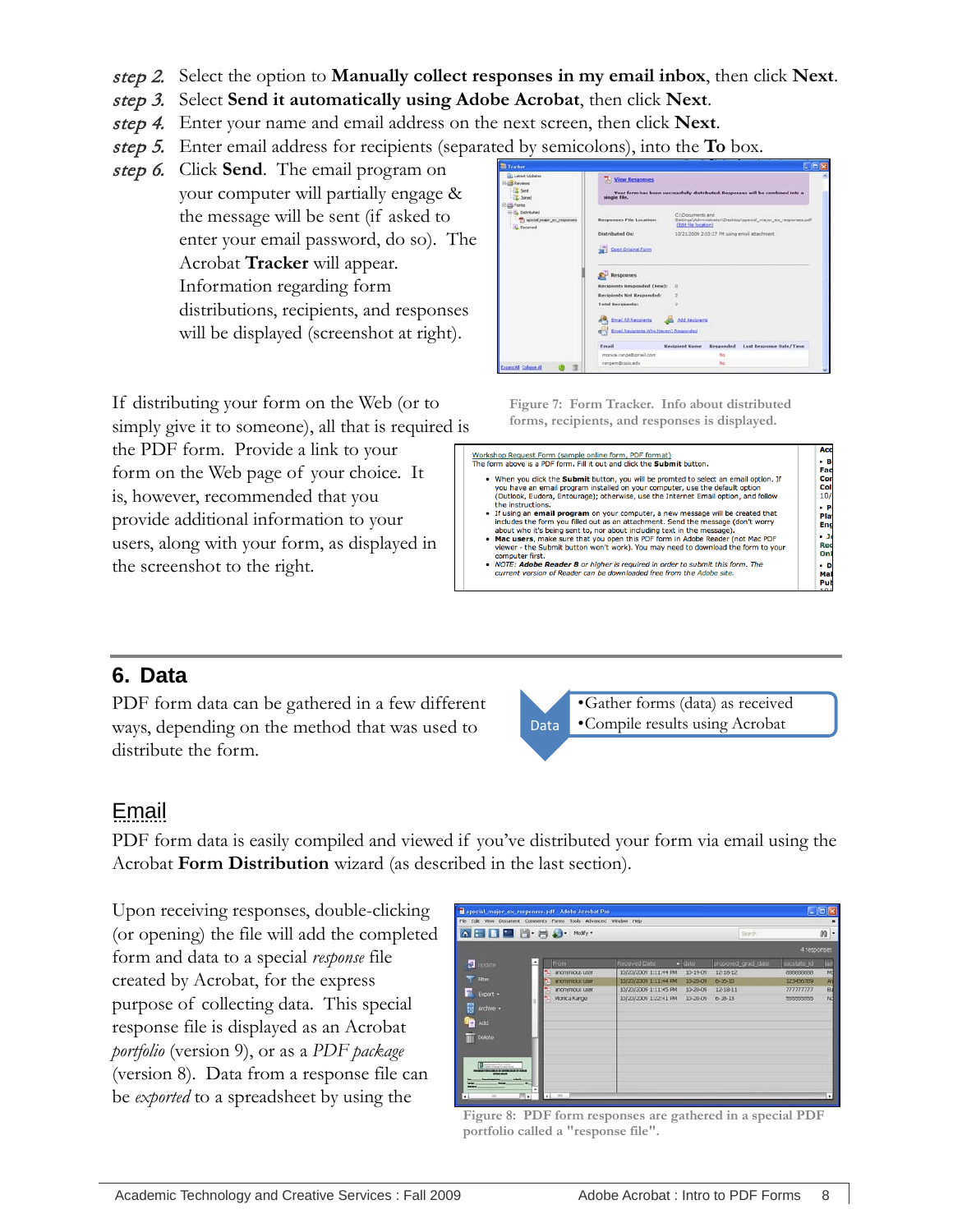- step 2. Select the option to **Manually collect responses in my email inbox**, then click **Next**.
- step 3. Select **Send it automatically using Adobe Acrobat**, then click **Next**.
- step 4. Enter your name and email address on the next screen, then click **Next**.
- step 5. Enter email address for recipients (separated by semicolons), into the **To** box.
- step 6. Click **Send**. The email program on your computer will partially engage & the message will be sent (if asked to enter your email password, do so). The Acrobat **Tracker** will appear. Information regarding form distributions, recipients, and responses will be displayed (screenshot at right).

If distributing your form on the Web (or to simply give it to someone), all that is required is

the PDF form. Provide a link to your form on the Web page of your choice. It is, however, recommended that you provide additional information to your users, along with your form, as displayed in the screenshot to the right.

| ish Labest Undahes                                                          | 7. View Responses                                                                                                                            |                       |           |                                                                                |  |
|-----------------------------------------------------------------------------|----------------------------------------------------------------------------------------------------------------------------------------------|-----------------------|-----------|--------------------------------------------------------------------------------|--|
| <b>Co. Reviews</b><br><b>I</b> Sect<br>C. Sninwid<br><b>E</b> Forms         | single file.                                                                                                                                 |                       |           | Your form has been successfully distributed. Responses will be combined into a |  |
| <b>Call Distributed</b><br>special major ex responses<br><b>N. Received</b> | C:\Documents and<br>Settings\Administrator\Desktop\special_major_ex_responses.pdf<br><b>Responses File Location:</b><br>(Edit file location) |                       |           |                                                                                |  |
|                                                                             | Distributed On:                                                                                                                              |                       |           | 10/21/2009 2:03:27 PM using email attachment.                                  |  |
|                                                                             | Case Crisinal Farm                                                                                                                           |                       |           |                                                                                |  |
|                                                                             | Responses                                                                                                                                    |                       |           |                                                                                |  |
|                                                                             | Kecipients Responded (New): 0                                                                                                                |                       |           |                                                                                |  |
|                                                                             | Recipients Not Responded:                                                                                                                    |                       |           |                                                                                |  |
|                                                                             | <b>Total Recipients:</b>                                                                                                                     |                       |           |                                                                                |  |
|                                                                             | <b>Contained All Registering</b>                                                                                                             | Add Anciental         |           |                                                                                |  |
|                                                                             | end Email Recipients Who Hayen't Responded                                                                                                   |                       |           |                                                                                |  |
|                                                                             | Fread                                                                                                                                        | <b>Recipient Name</b> | Responded | Last Response Date/Time                                                        |  |
|                                                                             | monica.range@gmail.com                                                                                                                       |                       | has       |                                                                                |  |
| ExpandAll College All                                                       | rangem@csus.edu                                                                                                                              |                       |           |                                                                                |  |

**Figure 7: Form Tracker. Info about distributed forms, recipients, and responses is displayed.**

| Workshop Request Form (sample online form, PDF format)                                                                                                                                                                                                                                                                                                                                                                                                          | Acc                                       |
|-----------------------------------------------------------------------------------------------------------------------------------------------------------------------------------------------------------------------------------------------------------------------------------------------------------------------------------------------------------------------------------------------------------------------------------------------------------------|-------------------------------------------|
| The form above is a PDF form. Fill it out and click the Submit button.                                                                                                                                                                                                                                                                                                                                                                                          | - B<br>Fac                                |
| . When you click the Submit button, you will be promted to select an email option. If<br>you have an email program installed on your computer, use the default option<br>(Outlook, Eudora, Entourage); otherwise, use the Internet Email option, and follow                                                                                                                                                                                                     | Con<br>Coll<br>10/1                       |
| the instructions.<br>• If using an email program on your computer, a new message will be created that<br>includes the form you filled out as an attachment. Send the message (don't worry<br>about who it's being sent to, nor about including text in the message).<br>. Mac users, make sure that you open this PDF form in Adobe Reader (not Mac PDF<br>viewer - the Submit button won't work). You may need to download the form to your<br>computer first. | - Po<br>Plat<br>End<br>- 36<br>Rec<br>Onl |
| . NOTE: Adobe Reader 8 or higher is required in order to submit this form. The<br>current version of Reader can be downloaded free from the Adobe site.                                                                                                                                                                                                                                                                                                         | $-D$<br>Mai<br>Pub<br>101                 |

## <span id="page-11-0"></span>**6. Data**

PDF form data can be gathered in a few different ways, depending on the method that was used to distribute the form.



## <span id="page-11-1"></span>**Email**

PDF form data is easily compiled and viewed if you've distributed your form via email using the Acrobat **Form Distribution** wizard (as described in the last section).

Upon receiving responses, double-clicking (or opening) the file will add the completed form and data to a special *response* file created by Acrobat, for the express purpose of collecting data. This special response file is displayed as an Acrobat *portfolio* (version 9), or as a *PDF package*  (version 8). Data from a response file can be *exported* to a spreadsheet by using the

| Special_major_ex_responses.pdf - Adobe Acrobat Pro<br>File Edit View Document Comments Forms Tools Advanced Window Help |                           |                 |                       |                  |                    |              | $ n \times$ |
|-------------------------------------------------------------------------------------------------------------------------|---------------------------|-----------------|-----------------------|------------------|--------------------|--------------|-------------|
| <b>QHDDD B</b> B a many                                                                                                 |                           |                 |                       |                  | Search             |              | m           |
|                                                                                                                         |                           |                 |                       |                  |                    | 4 responses  |             |
| <b>B</b> Lindate                                                                                                        |                           | From            | Received Date         | $\triangle$ date | proposed_grad_date | sacstate id. | <b>List</b> |
|                                                                                                                         |                           | anonymous user  | 10/20/2009 1:11:44 PM | 10-19-09         | 12-18-12           | 898889999    | Md          |
| Filter                                                                                                                  |                           | anommous user   | 10/20/2009 1:11:44 PM | 10-20-09         | $6 - 16 - 10$      | 123456789    | Ar          |
| 元<br>Export +                                                                                                           |                           | anonymous user. | 10/20/2009 1:11:45 PM | 10-20-09         | $12 - 18 - 11$     | 777777777    | Bú          |
|                                                                                                                         |                           | Monica Range    | 10/20/2009 1:22:41 PM | 10-20-09         | 6-18-13            | 555555555    | Nd          |
| 冒<br>Archive +                                                                                                          |                           |                 |                       |                  |                    |              |             |
| <b>IP Add</b>                                                                                                           |                           |                 |                       |                  |                    |              |             |
| III Delote                                                                                                              |                           |                 |                       |                  |                    |              |             |
|                                                                                                                         |                           |                 |                       |                  |                    |              |             |
| <b>Chuain's Sister</b>                                                                                                  |                           |                 |                       |                  |                    |              |             |
|                                                                                                                         |                           |                 |                       |                  |                    |              |             |
|                                                                                                                         | ≖                         |                 |                       |                  |                    |              |             |
| w.                                                                                                                      |                           |                 |                       |                  |                    |              |             |
| $\blacksquare$                                                                                                          | $\cdot$<br>$\blacksquare$ | m               |                       |                  |                    |              | $^\star$    |

**Figure 8: PDF form responses are gathered in a special PDF portfolio called a "response file".**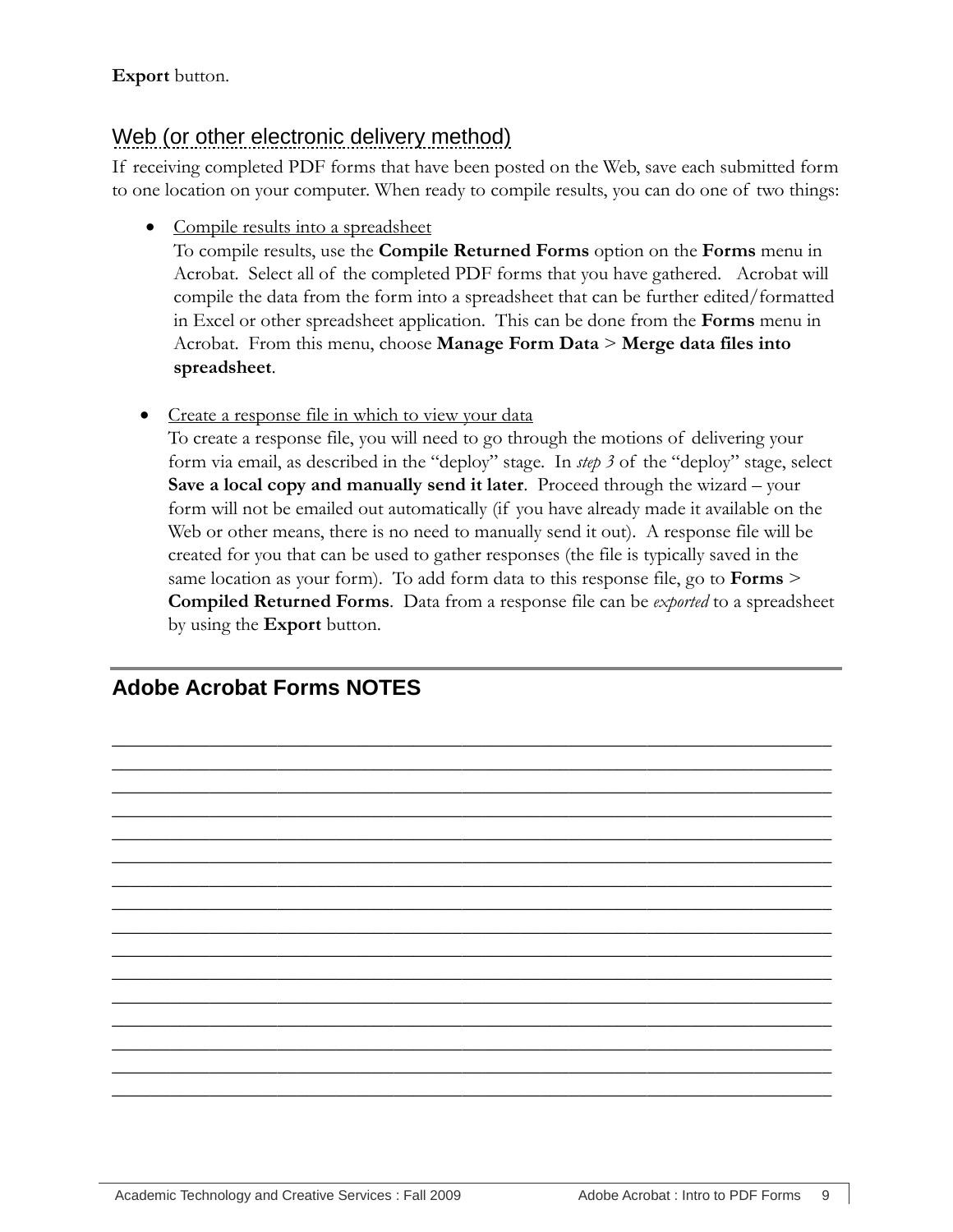#### **Export** button.

## <span id="page-12-0"></span>Web (or other electronic delivery method)

If receiving completed PDF forms that have been posted on the Web, save each submitted form to one location on your computer. When ready to compile results, you can do one of two things:

• Compile results into a spreadsheet

To compile results, use the **Compile Returned Forms** option on the **Forms** menu in Acrobat. Select all of the completed PDF forms that you have gathered. Acrobat will compile the data from the form into a spreadsheet that can be further edited/formatted in Excel or other spreadsheet application. This can be done from the **Forms** menu in Acrobat. From this menu, choose **Manage Form Data** > **Merge data files into spreadsheet**.

• Create a response file in which to view your data

To create a response file, you will need to go through the motions of delivering your form via email, as described in the "deploy" stage. In *step 3* of the "deploy" stage, select **Save a local copy and manually send it later**. Proceed through the wizard – your form will not be emailed out automatically (if you have already made it available on the Web or other means, there is no need to manually send it out). A response file will be created for you that can be used to gather responses (the file is typically saved in the same location as your form). To add form data to this response file, go to **Forms** > **Compiled Returned Forms**. Data from a response file can be *exported* to a spreadsheet by using the **Export** button.

 $\overline{\phantom{a}}$  , and the contract of the contract of the contract of the contract of the contract of the contract of the contract of the contract of the contract of the contract of the contract of the contract of the contrac  $\overline{\phantom{a}}$  , and the contract of the contract of the contract of the contract of the contract of the contract of the contract of the contract of the contract of the contract of the contract of the contract of the contrac  $\overline{\phantom{a}}$  , and the contract of the contract of the contract of the contract of the contract of the contract of the contract of the contract of the contract of the contract of the contract of the contract of the contrac  $\overline{\phantom{a}}$  , and the contract of the contract of the contract of the contract of the contract of the contract of the contract of the contract of the contract of the contract of the contract of the contract of the contrac  $\overline{\phantom{a}}$  , and the contract of the contract of the contract of the contract of the contract of the contract of the contract of the contract of the contract of the contract of the contract of the contract of the contrac  $\overline{\phantom{a}}$  , and the contract of the contract of the contract of the contract of the contract of the contract of the contract of the contract of the contract of the contract of the contract of the contract of the contrac  $\overline{\phantom{a}}$  , and the contract of the contract of the contract of the contract of the contract of the contract of the contract of the contract of the contract of the contract of the contract of the contract of the contrac  $\overline{\phantom{a}}$  , and the contract of the contract of the contract of the contract of the contract of the contract of the contract of the contract of the contract of the contract of the contract of the contract of the contrac  $\overline{\phantom{a}}$  , and the contract of the contract of the contract of the contract of the contract of the contract of the contract of the contract of the contract of the contract of the contract of the contract of the contrac  $\overline{\phantom{a}}$  , and the contract of the contract of the contract of the contract of the contract of the contract of the contract of the contract of the contract of the contract of the contract of the contract of the contrac  $\overline{\phantom{a}}$  , and the contract of the contract of the contract of the contract of the contract of the contract of the contract of the contract of the contract of the contract of the contract of the contract of the contrac  $\overline{\phantom{a}}$  , and the contract of the contract of the contract of the contract of the contract of the contract of the contract of the contract of the contract of the contract of the contract of the contract of the contrac  $\overline{\phantom{a}}$  , and the contract of the contract of the contract of the contract of the contract of the contract of the contract of the contract of the contract of the contract of the contract of the contract of the contrac  $\overline{\phantom{a}}$  , and the contract of the contract of the contract of the contract of the contract of the contract of the contract of the contract of the contract of the contract of the contract of the contract of the contrac  $\overline{\phantom{a}}$  , and the contract of the contract of the contract of the contract of the contract of the contract of the contract of the contract of the contract of the contract of the contract of the contract of the contrac  $\overline{\phantom{a}}$  , and the contract of the contract of the contract of the contract of the contract of the contract of the contract of the contract of the contract of the contract of the contract of the contract of the contrac

<span id="page-12-1"></span>**Adobe Acrobat Forms NOTES**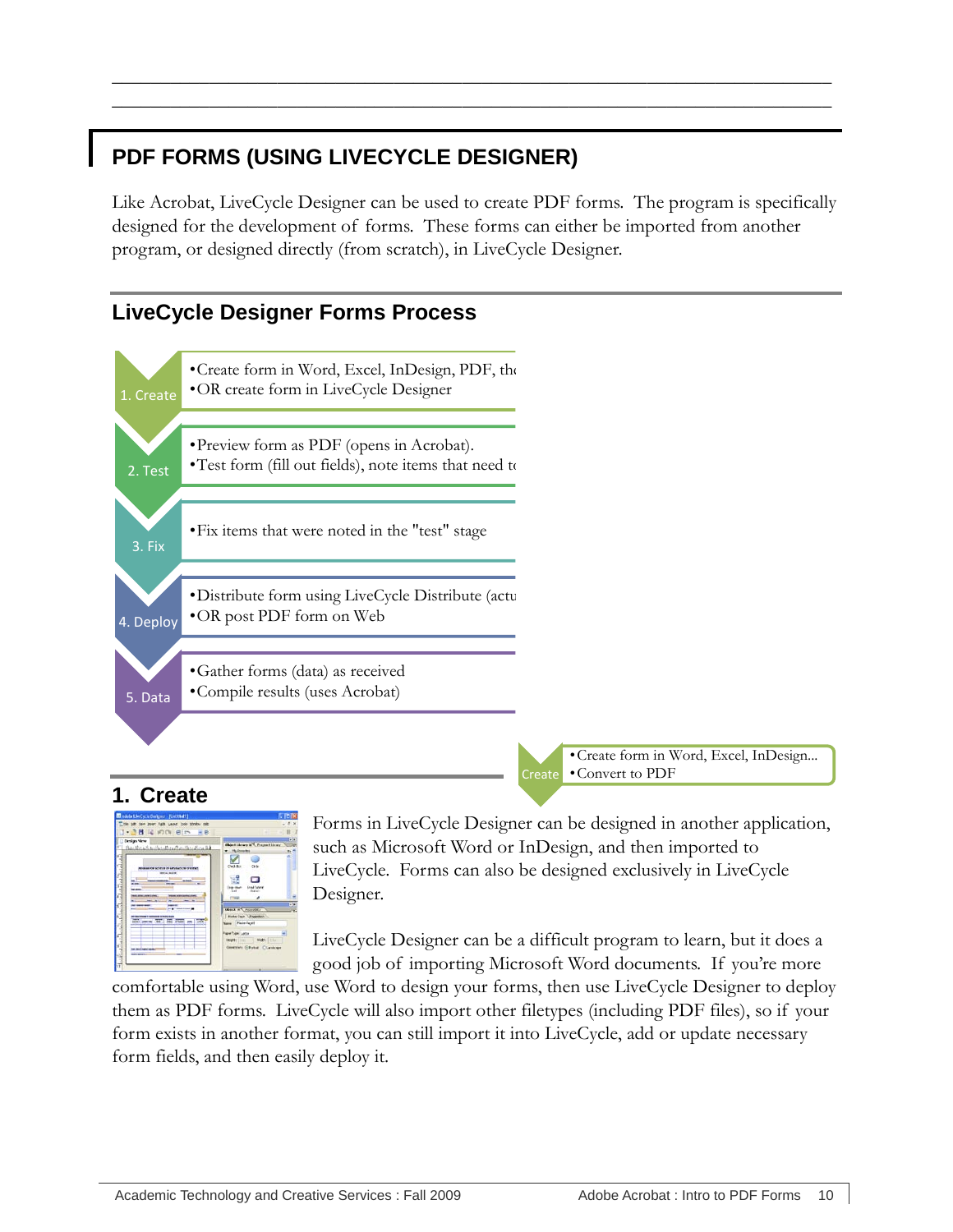# <span id="page-13-0"></span>**PDF FORMS (USING LIVECYCLE DESIGNER)**

Like Acrobat, LiveCycle Designer can be used to create PDF forms. The program is specifically designed for the development of forms. These forms can either be imported from another program, or designed directly (from scratch), in LiveCycle Designer.

 $\overline{\phantom{a}}$  , and the contract of the contract of the contract of the contract of the contract of the contract of the contract of the contract of the contract of the contract of the contract of the contract of the contrac \_\_\_\_\_\_\_\_\_\_\_\_\_\_\_\_\_\_\_\_\_\_\_\_\_\_\_\_\_\_\_\_\_\_\_\_\_\_\_\_\_\_\_\_\_\_\_\_\_\_\_\_\_\_\_\_\_\_\_\_\_\_\_\_\_\_\_\_\_\_\_\_\_\_

## <span id="page-13-1"></span>**LiveCycle Designer Forms Process**



## <span id="page-13-2"></span>**1. Create**



Forms in LiveCycle Designer can be designed in another application, such as Microsoft Word or InDesign, and then imported to LiveCycle. Forms can also be designed exclusively in LiveCycle Designer.

•Convert to PDF

Create

LiveCycle Designer can be a difficult program to learn, but it does a good job of importing Microsoft Word documents. If you're more

comfortable using Word, use Word to design your forms, then use LiveCycle Designer to deploy them as PDF forms. LiveCycle will also import other filetypes (including PDF files), so if your form exists in another format, you can still import it into LiveCycle, add or update necessary form fields, and then easily deploy it.

•Create form in Word, Excel, InDesign...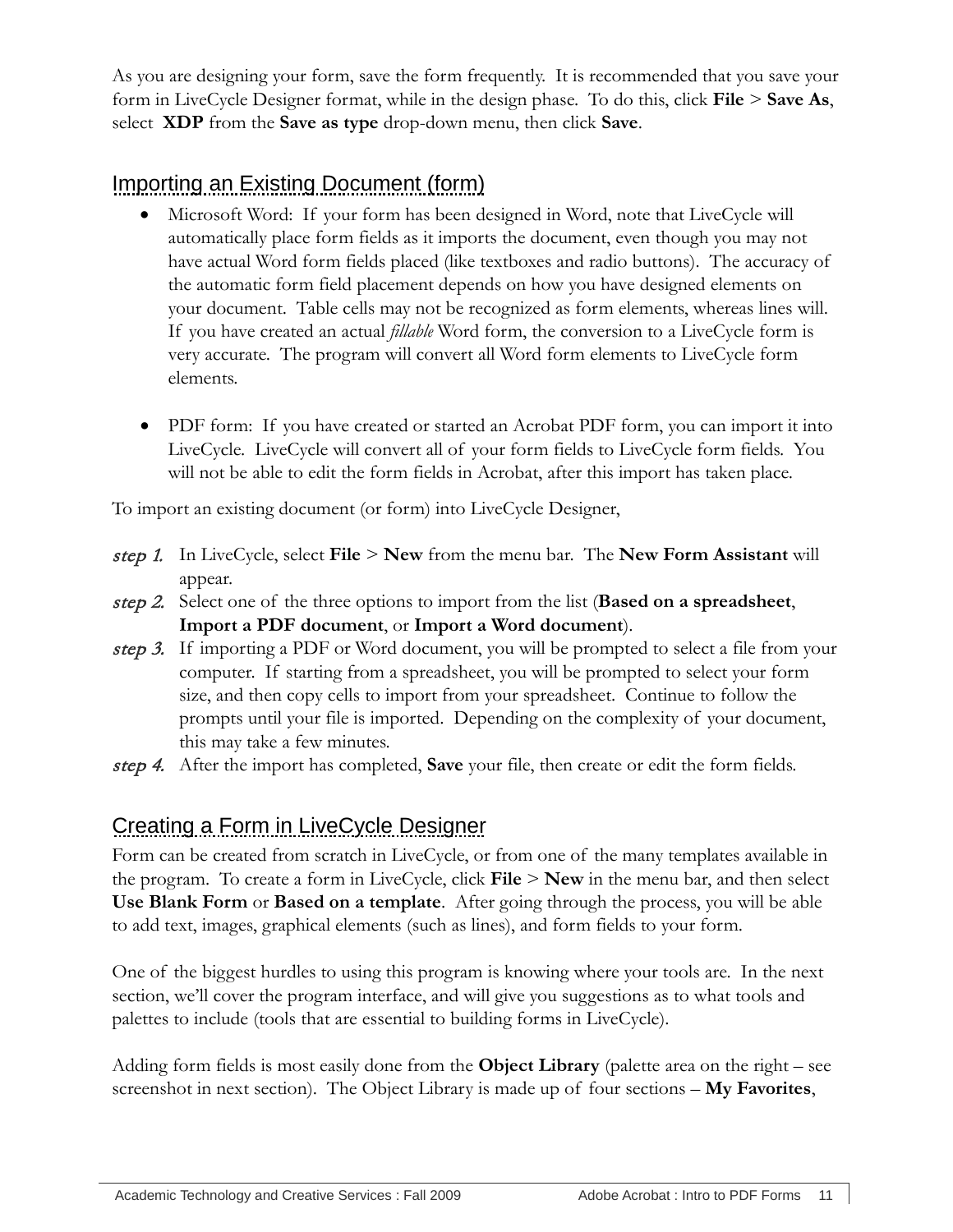As you are designing your form, save the form frequently. It is recommended that you save your form in LiveCycle Designer format, while in the design phase. To do this, click **File** > **Save As**, select **XDP** from the **Save as type** drop-down menu, then click **Save**.

# <span id="page-14-0"></span>Importing an Existing Document (form)

- Microsoft Word: If your form has been designed in Word, note that LiveCycle will automatically place form fields as it imports the document, even though you may not have actual Word form fields placed (like textboxes and radio buttons). The accuracy of the automatic form field placement depends on how you have designed elements on your document. Table cells may not be recognized as form elements, whereas lines will. If you have created an actual *fillable* Word form, the conversion to a LiveCycle form is very accurate. The program will convert all Word form elements to LiveCycle form elements.
- PDF form: If you have created or started an Acrobat PDF form, you can import it into LiveCycle. LiveCycle will convert all of your form fields to LiveCycle form fields. You will not be able to edit the form fields in Acrobat, after this import has taken place.

To import an existing document (or form) into LiveCycle Designer,

- step 1. In LiveCycle, select **File** > **New** from the menu bar. The **New Form Assistant** will appear.
- step 2. Select one of the three options to import from the list (**Based on a spreadsheet**, **Import a PDF document**, or **Import a Word document**).
- step 3. If importing a PDF or Word document, you will be prompted to select a file from your computer. If starting from a spreadsheet, you will be prompted to select your form size, and then copy cells to import from your spreadsheet. Continue to follow the prompts until your file is imported. Depending on the complexity of your document, this may take a few minutes.
- step 4. After the import has completed, **Save** your file, then create or edit the form fields.

# <span id="page-14-1"></span>Creating a Form in LiveCycle Designer

Form can be created from scratch in LiveCycle, or from one of the many templates available in the program. To create a form in LiveCycle, click **File** > **New** in the menu bar, and then select **Use Blank Form** or **Based on a template**. After going through the process, you will be able to add text, images, graphical elements (such as lines), and form fields to your form.

One of the biggest hurdles to using this program is knowing where your tools are. In the next section, we'll cover the program interface, and will give you suggestions as to what tools and palettes to include (tools that are essential to building forms in LiveCycle).

Adding form fields is most easily done from the **Object Library** (palette area on the right – see screenshot in next section). The Object Library is made up of four sections – **My Favorites**,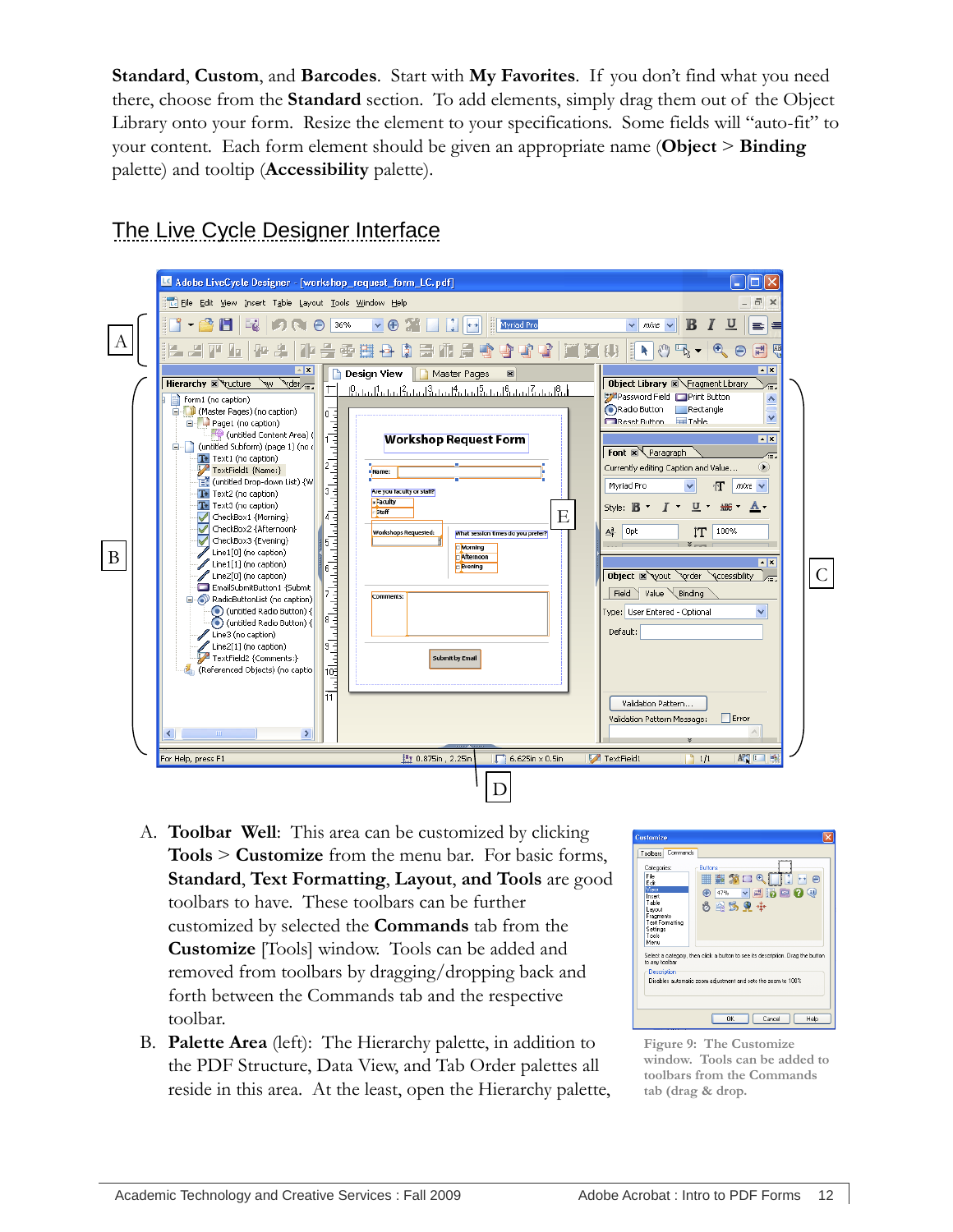**Standard**, **Custom**, and **Barcodes**. Start with **My Favorites**. If you don't find what you need there, choose from the **Standard** section. To add elements, simply drag them out of the Object Library onto your form. Resize the element to your specifications. Some fields will "auto-fit" to your content. Each form element should be given an appropriate name (**Object** > **Binding** palette) and tooltip (**Accessibility** palette).

<span id="page-15-0"></span>The Live Cycle Designer Interface



- A. **Toolbar Well**: This area can be customized by clicking **Tools** > **Customize** from the menu bar. For basic forms, **Standard**, **Text Formatting**, **Layout**, **and Tools** are good toolbars to have. These toolbars can be further customized by selected the **Commands** tab from the **Customize** [Tools] window. Tools can be added and removed from toolbars by dragging/dropping back and forth between the Commands tab and the respective toolbar.
- B. **Palette Area** (left): The Hierarchy palette, in addition to the PDF Structure, Data View, and Tab Order palettes all reside in this area. At the least, open the Hierarchy palette,



**Figure 9: The Customize window. Tools can be added to toolbars from the Commands tab (drag & drop.**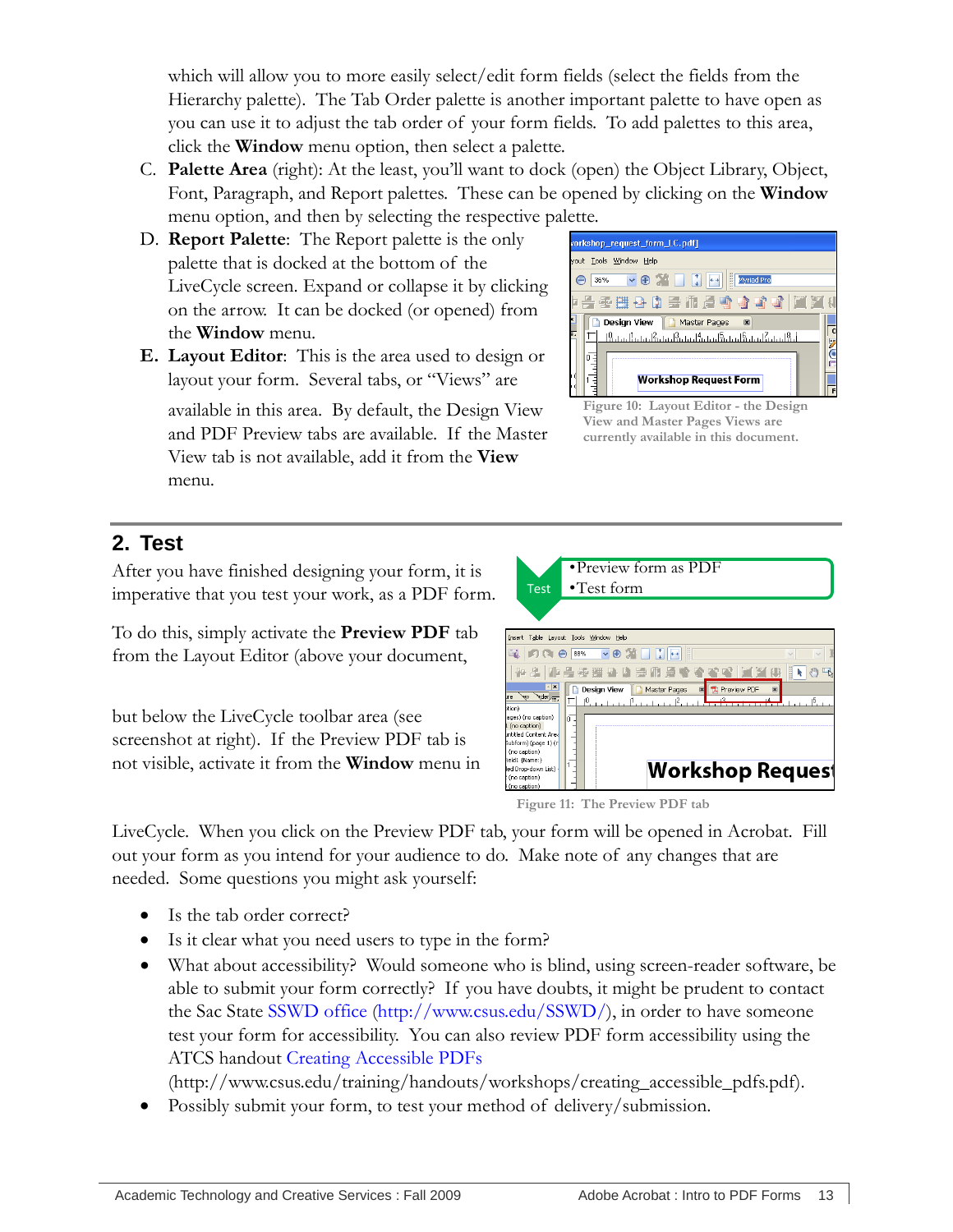which will allow you to more easily select/edit form fields (select the fields from the Hierarchy palette). The Tab Order palette is another important palette to have open as you can use it to adjust the tab order of your form fields. To add palettes to this area, click the **Window** menu option, then select a palette.

- C. **Palette Area** (right): At the least, you'll want to dock (open) the Object Library, Object, Font, Paragraph, and Report palettes. These can be opened by clicking on the **Window** menu option, and then by selecting the respective palette.
- D. **Report Palette**: The Report palette is the only palette that is docked at the bottom of the LiveCycle screen. Expand or collapse it by clicking on the arrow. It can be docked (or opened) from the **Window** menu.
- **E. Layout Editor**: This is the area used to design or layout your form. Several tabs, or "Views" are

available in this area. By default, the Design View and PDF Preview tabs are available. If the Master View tab is not available, add it from the **View** menu.



**Figure 10: Layout Editor - the Design View and Master Pages Views are currently available in this document.**

## <span id="page-16-0"></span>**2. Test**

After you have finished designing your form, it is imperative that you test your work, as a PDF form.

To do this, simply activate the **Preview PDF** tab from the Layout Editor (above your document,

but below the LiveCycle toolbar area (see screenshot at right). If the Preview PDF tab is not visible, activate it from the **Window** menu in



**Figure 11: The Preview PDF tab**

LiveCycle. When you click on the Preview PDF tab, your form will be opened in Acrobat. Fill out your form as you intend for your audience to do. Make note of any changes that are needed. Some questions you might ask yourself:

- Is the tab order correct?
- Is it clear what you need users to type in the form?
- What about accessibility? Would someone who is blind, using screen-reader software, be able to submit your form correctly? If you have doubts, it might be prudent to contact the Sac State [SSWD office](http://www.csus.edu/SSWD/) [\(http://www.csus.edu/SSWD/\)](http://www.csus.edu/SSWD/), in order to have someone test your form for accessibility. You can also review PDF form accessibility using the ATCS handout [Creating Accessible PDFs](http://www.csus.edu/training/handouts/workshops/creating_accessible_pdfs.pdf)

(http://www.csus.edu/training/handouts/workshops/creating\_accessible\_pdfs.pdf).

Possibly submit your form, to test your method of delivery/submission.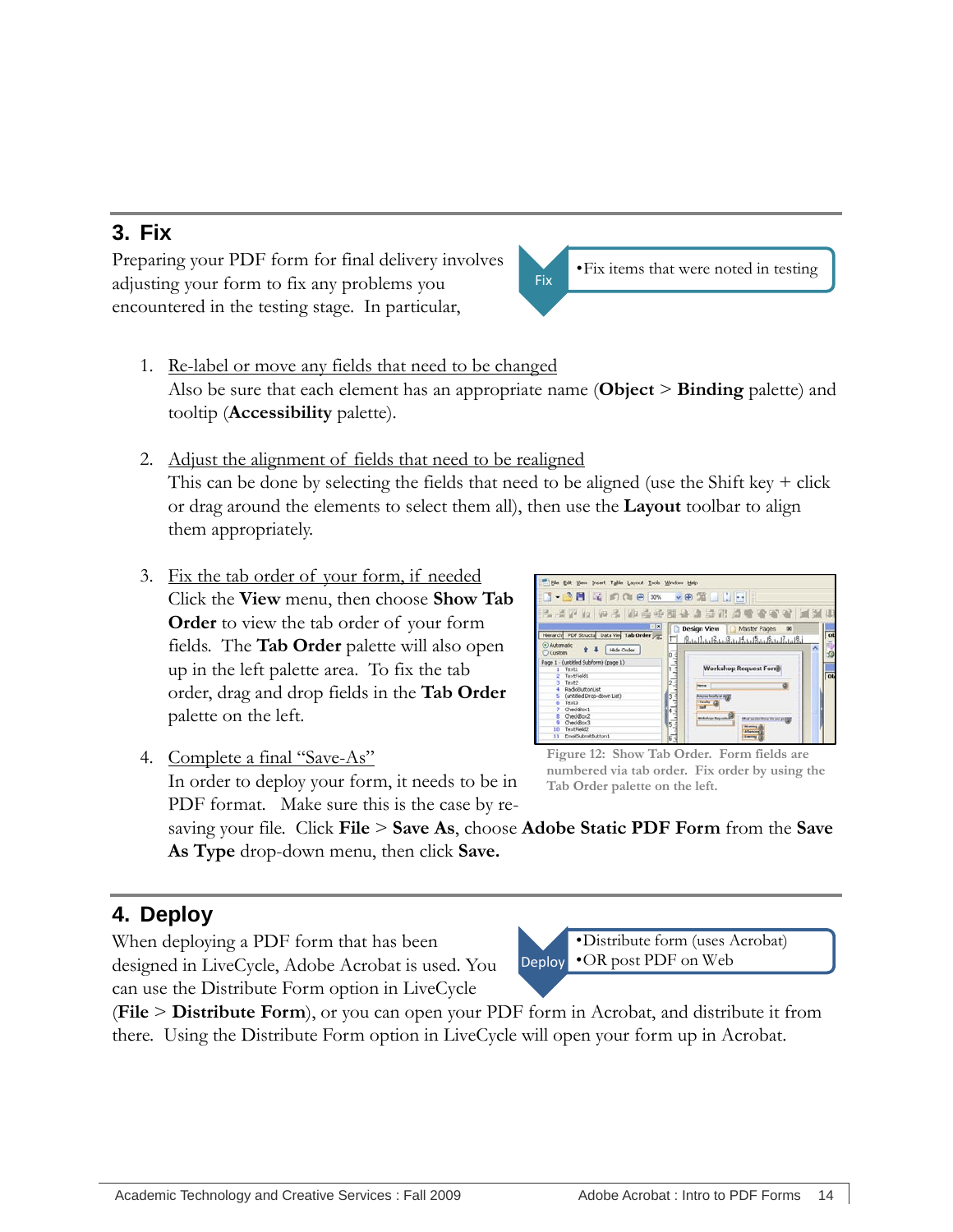<span id="page-17-0"></span>Preparing your PDF form for final delivery involves adjusting your form to fix any problems you encountered in the testing stage. In particular,

- 1. Re-label or move any fields that need to be changed Also be sure that each element has an appropriate name (**Object** > **Binding** palette) and tooltip (**Accessibility** palette).
- 2. Adjust the alignment of fields that need to be realigned This can be done by selecting the fields that need to be aligned (use the Shift key  $+$  click or drag around the elements to select them all), then use the **Layout** toolbar to align them appropriately.
- 3. Fix the tab order of your form, if needed Click the **View** menu, then choose **Show Tab Order** to view the tab order of your form fields. The **Tab Order** palette will also open up in the left palette area. To fix the tab order, drag and drop fields in the **Tab Order**  palette on the left.



•Fix items that were noted in testing

4. Complete a final "Save-As" In order to deploy your form, it needs to be in PDF format. Make sure this is the case by re-

**Figure 12: Show Tab Order. Form fields are numbered via tab order. Fix order by using the Tab Order palette on the left.**

saving your file. Click **File** > **Save As**, choose **Adobe Static PDF Form** from the **Save As Type** drop-down menu, then click **Save.**

# <span id="page-17-1"></span>**4. Deploy**

When deploying a PDF form that has been designed in LiveCycle, Adobe Acrobat is used. You can use the Distribute Form option in LiveCycle

Deploy •Distribute form (uses Acrobat) •OR post PDF on Web

(**File** > **Distribute Form**), or you can open your PDF form in Acrobat, and distribute it from there. Using the Distribute Form option in LiveCycle will open your form up in Acrobat.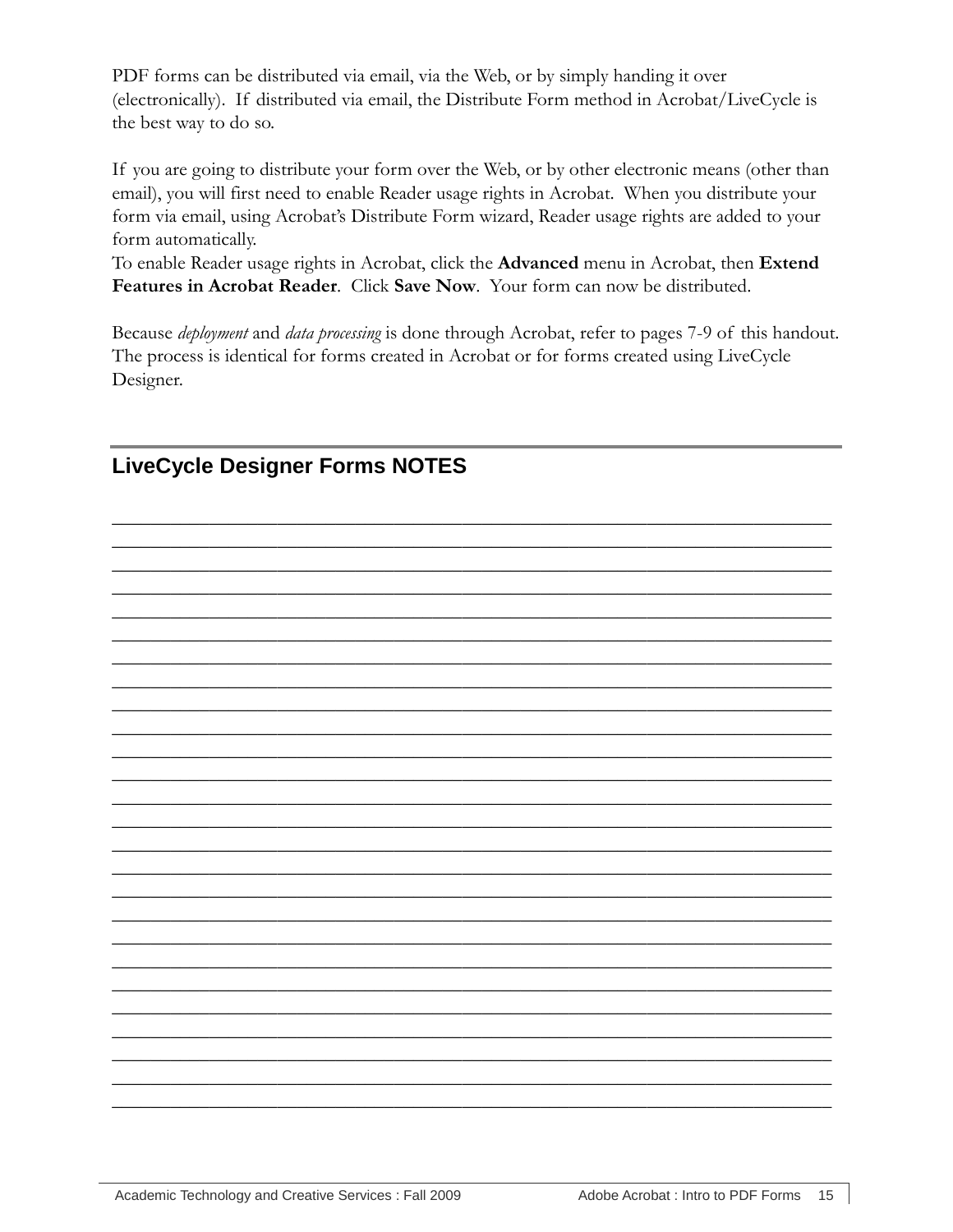PDF forms can be distributed via email, via the Web, or by simply handing it over (electronically). If distributed via email, the Distribute Form method in Acrobat/LiveCycle is the best way to do so.

If you are going to distribute your form over the Web, or by other electronic means (other than email), you will first need to enable Reader usage rights in Acrobat. When you distribute your form via email, using Acrobat's Distribute Form wizard, Reader usage rights are added to your form automatically.

To enable Reader usage rights in Acrobat, click the Advanced menu in Acrobat, then Extend Features in Acrobat Reader. Click Save Now. Your form can now be distributed.

Because deployment and data processing is done through Acrobat, refer to pages 7-9 of this handout. The process is identical for forms created in Acrobat or for forms created using LiveCycle Designer.



<span id="page-18-0"></span>**LiveCycle Designer Forms NOTES**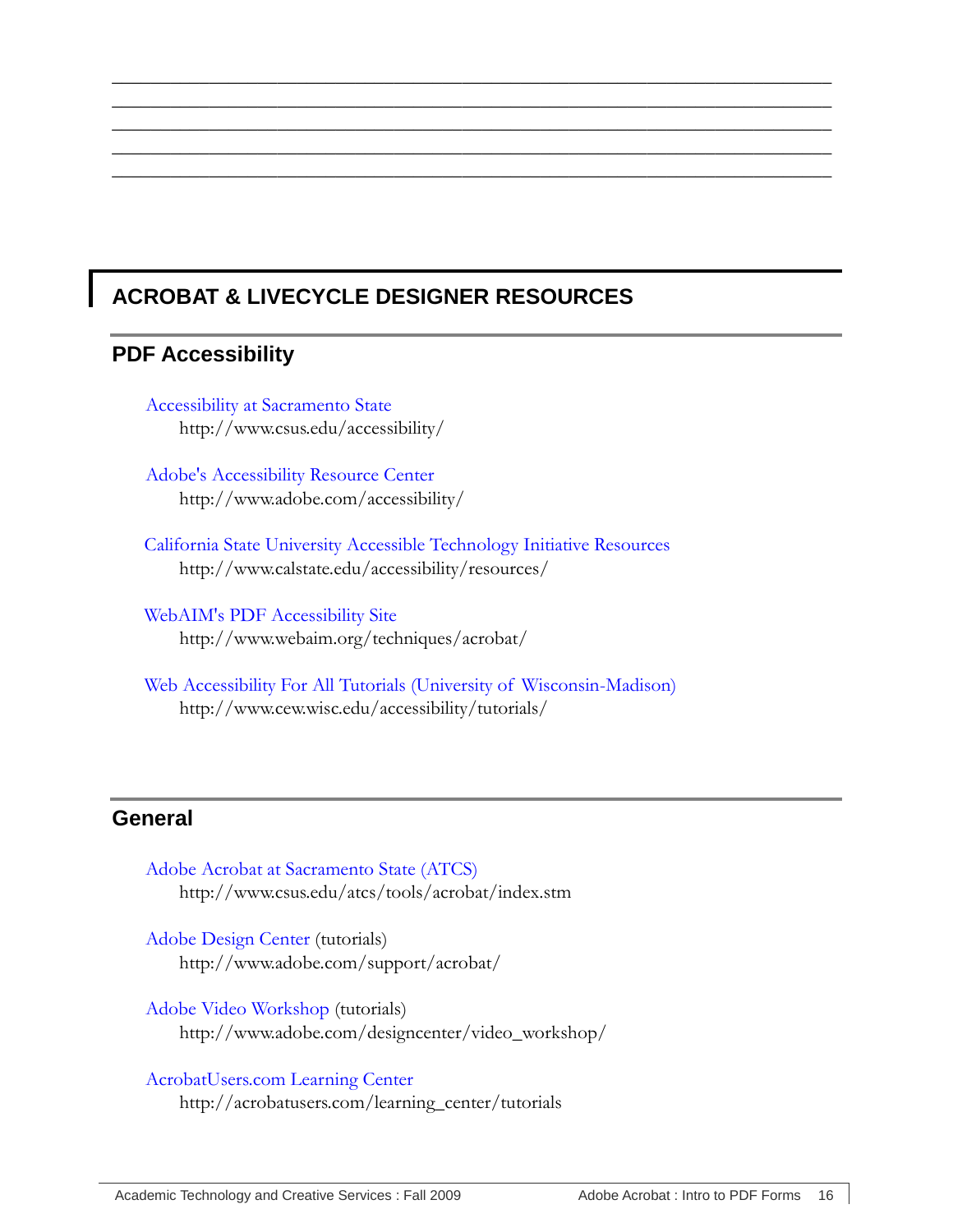# <span id="page-19-1"></span><span id="page-19-0"></span>**ACROBAT & LIVECYCLE DESIGNER RESOURCES**

 $\overline{\phantom{a}}$  , and the contract of the contract of the contract of the contract of the contract of the contract of the contract of the contract of the contract of the contract of the contract of the contract of the contrac  $\overline{\phantom{a}}$  , and the contract of the contract of the contract of the contract of the contract of the contract of the contract of the contract of the contract of the contract of the contract of the contract of the contrac  $\overline{\phantom{a}}$  , and the contract of the contract of the contract of the contract of the contract of the contract of the contract of the contract of the contract of the contract of the contract of the contract of the contrac  $\overline{\phantom{a}}$  , and the contract of the contract of the contract of the contract of the contract of the contract of the contract of the contract of the contract of the contract of the contract of the contract of the contrac  $\overline{\phantom{a}}$  , and the contract of the contract of the contract of the contract of the contract of the contract of the contract of the contract of the contract of the contract of the contract of the contract of the contrac

## **PDF Accessibility**

[Accessibility at Sacramento State](http://www.csus.edu/accessibility/) http://www.csus.edu/accessibility/

[Adobe's Accessibility Resource Center](http://www.adobe.com/accessibility/) http://www.adobe.com/accessibility/

[California State University Accessible Technology Initiative Resources](http://www.calstate.edu/accessibility/resources/) http://www.calstate.edu/accessibility/resources/

[WebAIM's PDF Accessibility Site](http://www.webaim.org/techniques/acrobat/) http://www.webaim.org/techniques/acrobat/

[Web Accessibility For All Tutorials \(University of Wisconsin-Madison\)](http://www.cew.wisc.edu/accessibility/tutorials/) http://www.cew.wisc.edu/accessibility/tutorials/

## <span id="page-19-2"></span>**General**

| Adobe Acrobat at Sacramento State (ATCS)<br>http://www.csus.edu/atcs/tools/acrobat/index.stm |
|----------------------------------------------------------------------------------------------|
| Adobe Design Center (tutorials)<br>http://www.adobe.com/support/acrobat/                     |
| Adobe Video Workshop (tutorials)<br>http://www.adobe.com/designcenter/video_workshop/        |
| AcrobatUsers.com Learning Center                                                             |

http://acrobatusers.com/learning\_center/tutorials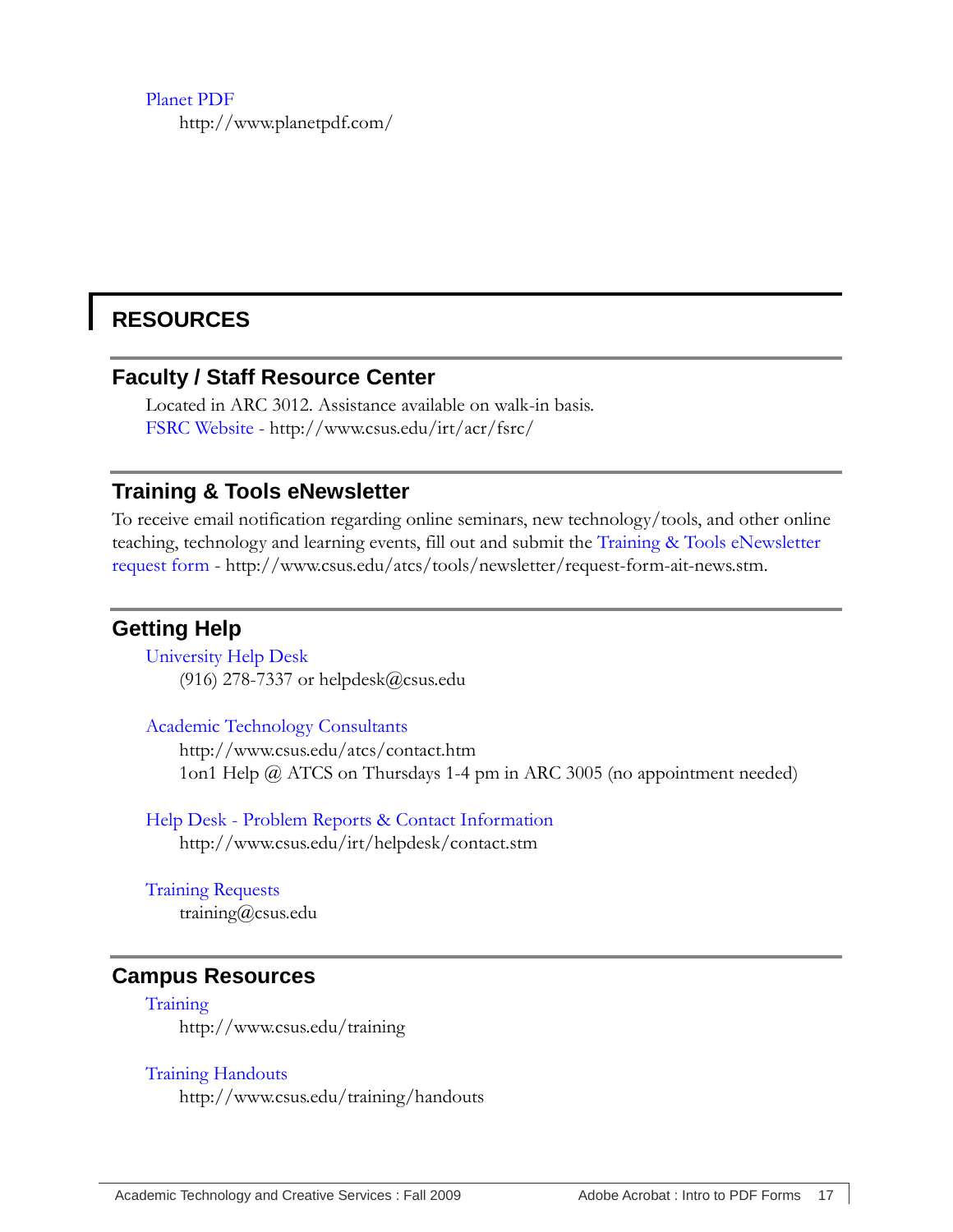#### [Planet PDF](http://www.planetpdf.com/) http://www.planetpdf.com/

# <span id="page-20-1"></span><span id="page-20-0"></span>**RESOURCES**

#### **Faculty / Staff Resource Center**

Located in ARC 3012. Assistance available on walk-in basis. [FSRC Website](http://www.csus.edu/irt/acr/fsrc/) - <http://www.csus.edu/irt/acr/fsrc/>

#### <span id="page-20-2"></span>**Training & Tools eNewsletter**

To receive email notification regarding online seminars, new technology/tools, and other online teaching, technology and learning events, fill out and submit the [Training & Tools eNewsletter](http://www.csus.edu/atcs/tools/newsletter/request-form-ait-news.stm)  [request form](http://www.csus.edu/atcs/tools/newsletter/request-form-ait-news.stm) - http://www.csus.edu/atcs/tools/newsletter/request-form-ait-news.stm.

#### <span id="page-20-3"></span>**Getting Help**

[University Help Desk](mailto:helpdesk@csus.edu) (916) 278-7337 or helpdesk@csus.edu

[Academic Technology Consultants](http://www.csus.edu/atcs/contact.htm) http://www.csus.edu/atcs/contact.htm 1on1 Help @ ATCS on Thursdays 1-4 pm in ARC 3005 (no appointment needed)

Help Desk - [Problem Reports & Contact Information](http://www.csus.edu/irt/helpdesk/contact.stm) http://www.csus.edu/irt/helpdesk/contact.stm

[Training Requests](mailto:training@csus.edu) training@csus.edu

#### <span id="page-20-4"></span>**Campus Resources**

**[Training](http://www.csus.edu/training/)** http://www.csus.edu/training

#### [Training Handouts](http://www.csus.edu/training/handouts)

http://www.csus.edu/training/handouts